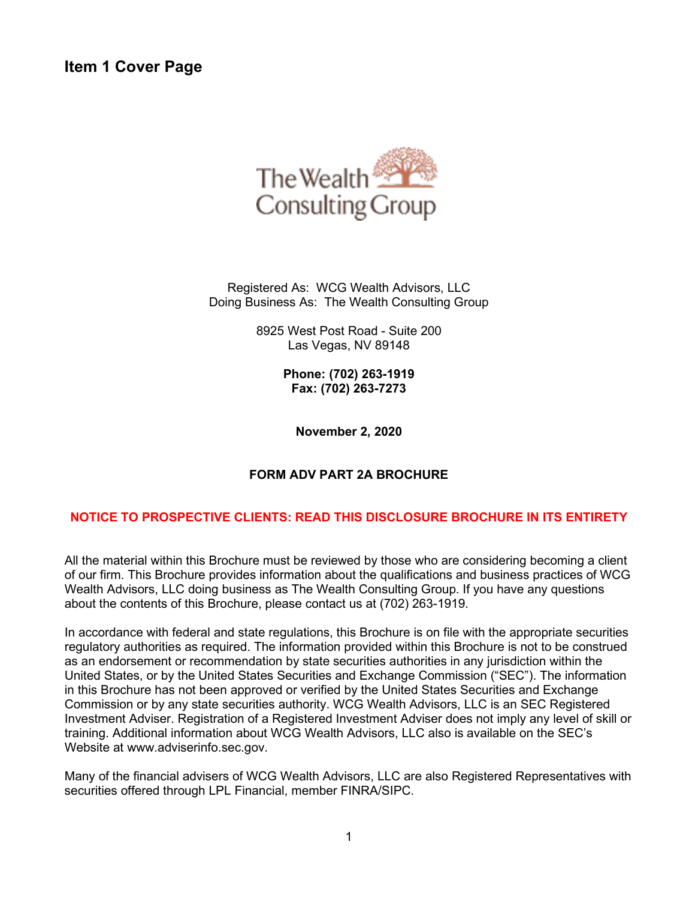**Item 1 Cover Page** 



Registered As: WCG Wealth Advisors, LLC Doing Business As: The Wealth Consulting Group

> 8925 West Post Road - Suite 200 Las Vegas, NV 89148

> > **Phone: (702) 263-1919 Fax: (702) 263-7273**

**November 2, 2020**

### **FORM ADV PART 2A BROCHURE**

### **NOTICE TO PROSPECTIVE CLIENTS: READ THIS DISCLOSURE BROCHURE IN ITS ENTIRETY**

All the material within this Brochure must be reviewed by those who are considering becoming a client of our firm. This Brochure provides information about the qualifications and business practices of WCG Wealth Advisors, LLC doing business as The Wealth Consulting Group. If you have any questions about the contents of this Brochure, please contact us at (702) 263-1919.

In accordance with federal and state regulations, this Brochure is on file with the appropriate securities regulatory authorities as required. The information provided within this Brochure is not to be construed as an endorsement or recommendation by state securities authorities in any jurisdiction within the United States, or by the United States Securities and Exchange Commission ("SEC"). The information in this Brochure has not been approved or verified by the United States Securities and Exchange Commission or by any state securities authority. WCG Wealth Advisors, LLC is an SEC Registered Investment Adviser. Registration of a Registered Investment Adviser does not imply any level of skill or training. Additional information about WCG Wealth Advisors, LLC also is available on the SEC's Website at www.adviserinfo.sec.gov.

Many of the financial advisers of WCG Wealth Advisors, LLC are also Registered Representatives with securities offered through LPL Financial, member FINRA/SIPC.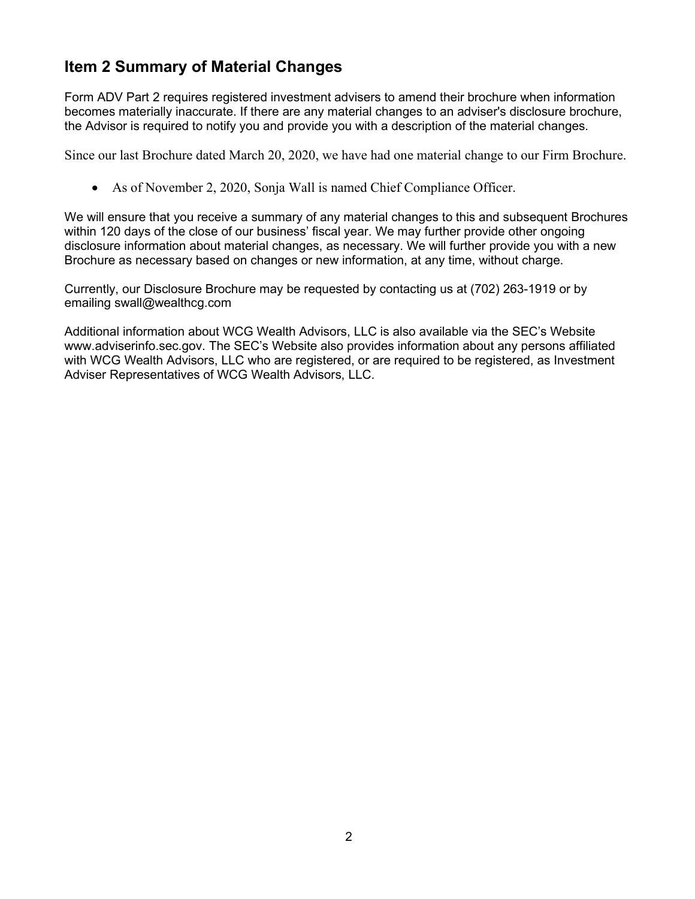# <span id="page-1-0"></span>**Item 2 Summary of Material Changes**

Form ADV Part 2 requires registered investment advisers to amend their brochure when information becomes materially inaccurate. If there are any material changes to an adviser's disclosure brochure, the Advisor is required to notify you and provide you with a description of the material changes.

Since our last Brochure dated March 20, 2020, we have had one material change to our Firm Brochure.

• As of November 2, 2020, Sonja Wall is named Chief Compliance Officer.

We will ensure that you receive a summary of any material changes to this and subsequent Brochures within 120 days of the close of our business' fiscal year. We may further provide other ongoing disclosure information about material changes, as necessary. We will further provide you with a new Brochure as necessary based on changes or new information, at any time, without charge.

Currently, our Disclosure Brochure may be requested by contacting us at (702) 263-1919 or by emailing swall@wealthcg.com

Additional information about WCG Wealth Advisors, LLC is also available via the SEC's Website www.adviserinfo.sec.gov. The SEC's Website also provides information about any persons affiliated with WCG Wealth Advisors, LLC who are registered, or are required to be registered, as Investment Adviser Representatives of WCG Wealth Advisors, LLC.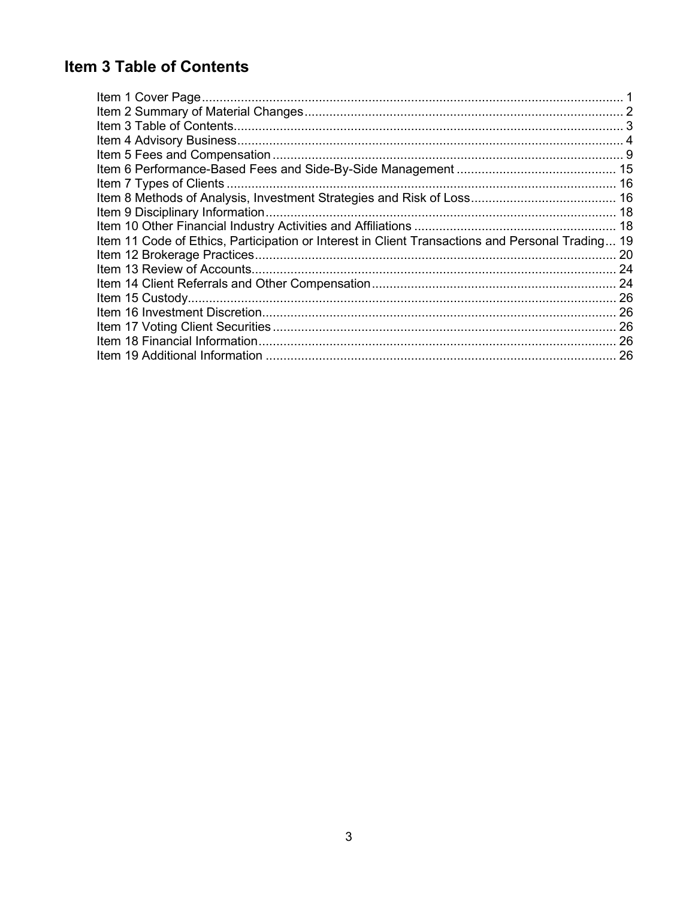# <span id="page-2-0"></span>**Item 3 Table of Contents**

| Item 9 Disciplinary Information.                                                                 |
|--------------------------------------------------------------------------------------------------|
|                                                                                                  |
| Item 11 Code of Ethics, Participation or Interest in Client Transactions and Personal Trading 19 |
|                                                                                                  |
|                                                                                                  |
|                                                                                                  |
|                                                                                                  |
| 26                                                                                               |
| 26                                                                                               |
| 26                                                                                               |
| 26                                                                                               |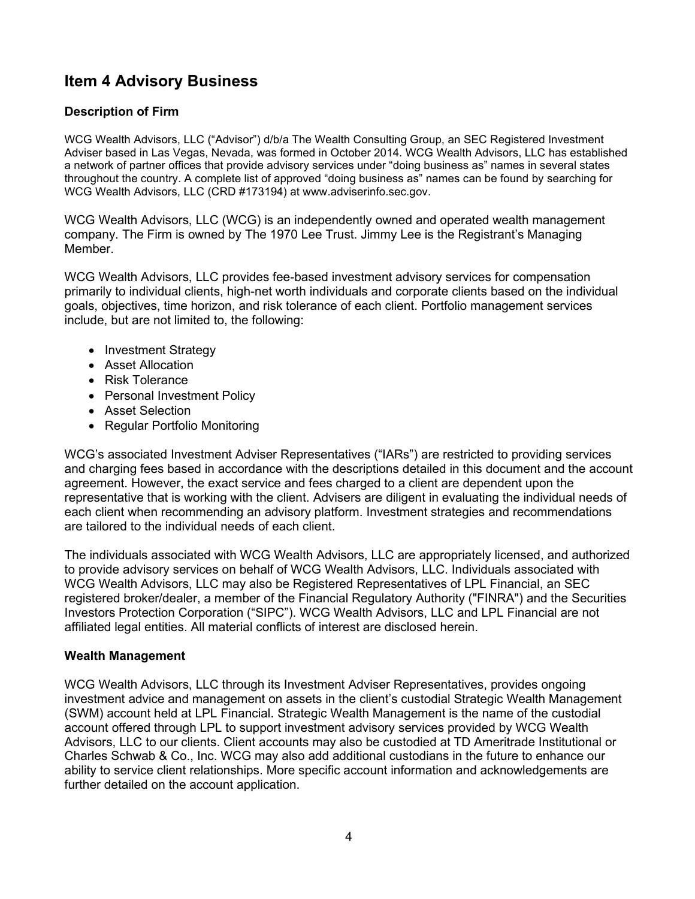# <span id="page-3-0"></span>**Item 4 Advisory Business**

### **Description of Firm**

WCG Wealth Advisors, LLC ("Advisor") d/b/a The Wealth Consulting Group, an SEC Registered Investment Adviser based in Las Vegas, Nevada, was formed in October 2014. WCG Wealth Advisors, LLC has established a network of partner offices that provide advisory services under "doing business as" names in several states throughout the country. A complete list of approved "doing business as" names can be found by searching for WCG Wealth Advisors, LLC (CRD #173194) at www.adviserinfo.sec.gov.

WCG Wealth Advisors, LLC (WCG) is an independently owned and operated wealth management company. The Firm is owned by The 1970 Lee Trust. Jimmy Lee is the Registrant's Managing Member.

WCG Wealth Advisors, LLC provides fee-based investment advisory services for compensation primarily to individual clients, high-net worth individuals and corporate clients based on the individual goals, objectives, time horizon, and risk tolerance of each client. Portfolio management services include, but are not limited to, the following:

- Investment Strategy
- Asset Allocation
- Risk Tolerance
- Personal Investment Policy
- Asset Selection
- Regular Portfolio Monitoring

WCG's associated Investment Adviser Representatives ("IARs") are restricted to providing services and charging fees based in accordance with the descriptions detailed in this document and the account agreement. However, the exact service and fees charged to a client are dependent upon the representative that is working with the client. Advisers are diligent in evaluating the individual needs of each client when recommending an advisory platform. Investment strategies and recommendations are tailored to the individual needs of each client.

The individuals associated with WCG Wealth Advisors, LLC are appropriately licensed, and authorized to provide advisory services on behalf of WCG Wealth Advisors, LLC. Individuals associated with WCG Wealth Advisors, LLC may also be Registered Representatives of LPL Financial, an SEC registered broker/dealer, a member of the Financial Regulatory Authority ("FINRA") and the Securities Investors Protection Corporation ("SIPC"). WCG Wealth Advisors, LLC and LPL Financial are not affiliated legal entities. All material conflicts of interest are disclosed herein.

### **Wealth Management**

WCG Wealth Advisors, LLC through its Investment Adviser Representatives, provides ongoing investment advice and management on assets in the client's custodial Strategic Wealth Management (SWM) account held at LPL Financial. Strategic Wealth Management is the name of the custodial account offered through LPL to support investment advisory services provided by WCG Wealth Advisors, LLC to our clients. Client accounts may also be custodied at TD Ameritrade Institutional or Charles Schwab & Co., Inc. WCG may also add additional custodians in the future to enhance our ability to service client relationships. More specific account information and acknowledgements are further detailed on the account application.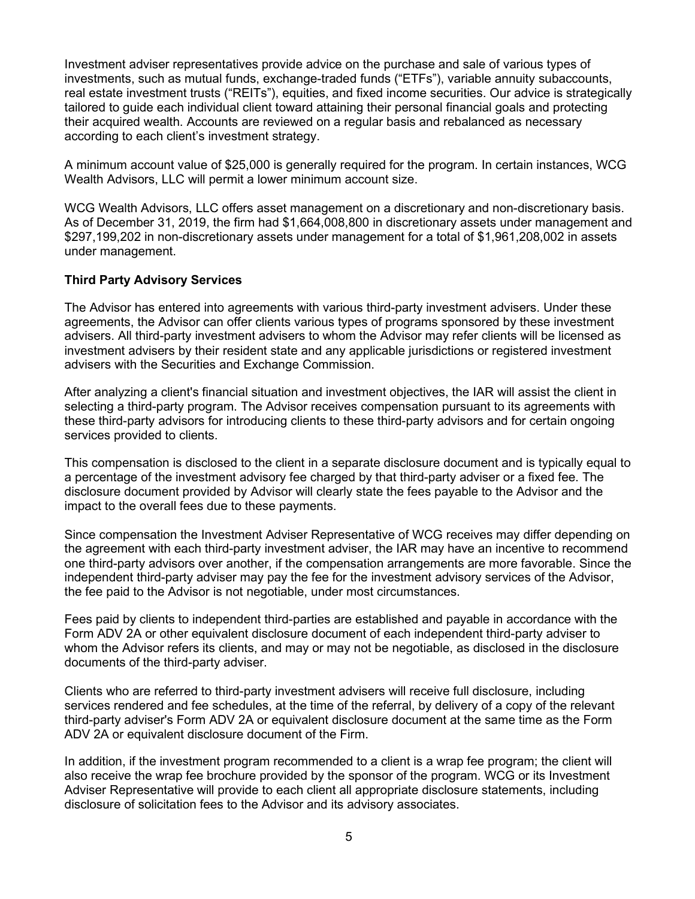Investment adviser representatives provide advice on the purchase and sale of various types of investments, such as mutual funds, exchange-traded funds ("ETFs"), variable annuity subaccounts, real estate investment trusts ("REITs"), equities, and fixed income securities. Our advice is strategically tailored to guide each individual client toward attaining their personal financial goals and protecting their acquired wealth. Accounts are reviewed on a regular basis and rebalanced as necessary according to each client's investment strategy.

A minimum account value of \$25,000 is generally required for the program. In certain instances, WCG Wealth Advisors, LLC will permit a lower minimum account size.

WCG Wealth Advisors, LLC offers asset management on a discretionary and non-discretionary basis. As of December 31, 2019, the firm had \$1,664,008,800 in discretionary assets under management and \$297,199,202 in non-discretionary assets under management for a total of \$1,961,208,002 in assets under management.

### **Third Party Advisory Services**

The Advisor has entered into agreements with various third-party investment advisers. Under these agreements, the Advisor can offer clients various types of programs sponsored by these investment advisers. All third-party investment advisers to whom the Advisor may refer clients will be licensed as investment advisers by their resident state and any applicable jurisdictions or registered investment advisers with the Securities and Exchange Commission.

After analyzing a client's financial situation and investment objectives, the IAR will assist the client in selecting a third-party program. The Advisor receives compensation pursuant to its agreements with these third-party advisors for introducing clients to these third-party advisors and for certain ongoing services provided to clients.

This compensation is disclosed to the client in a separate disclosure document and is typically equal to a percentage of the investment advisory fee charged by that third-party adviser or a fixed fee. The disclosure document provided by Advisor will clearly state the fees payable to the Advisor and the impact to the overall fees due to these payments.

Since compensation the Investment Adviser Representative of WCG receives may differ depending on the agreement with each third-party investment adviser, the IAR may have an incentive to recommend one third-party advisors over another, if the compensation arrangements are more favorable. Since the independent third-party adviser may pay the fee for the investment advisory services of the Advisor, the fee paid to the Advisor is not negotiable, under most circumstances.

Fees paid by clients to independent third-parties are established and payable in accordance with the Form ADV 2A or other equivalent disclosure document of each independent third-party adviser to whom the Advisor refers its clients, and may or may not be negotiable, as disclosed in the disclosure documents of the third-party adviser.

Clients who are referred to third-party investment advisers will receive full disclosure, including services rendered and fee schedules, at the time of the referral, by delivery of a copy of the relevant third-party adviser's Form ADV 2A or equivalent disclosure document at the same time as the Form ADV 2A or equivalent disclosure document of the Firm.

In addition, if the investment program recommended to a client is a wrap fee program; the client will also receive the wrap fee brochure provided by the sponsor of the program. WCG or its Investment Adviser Representative will provide to each client all appropriate disclosure statements, including disclosure of solicitation fees to the Advisor and its advisory associates.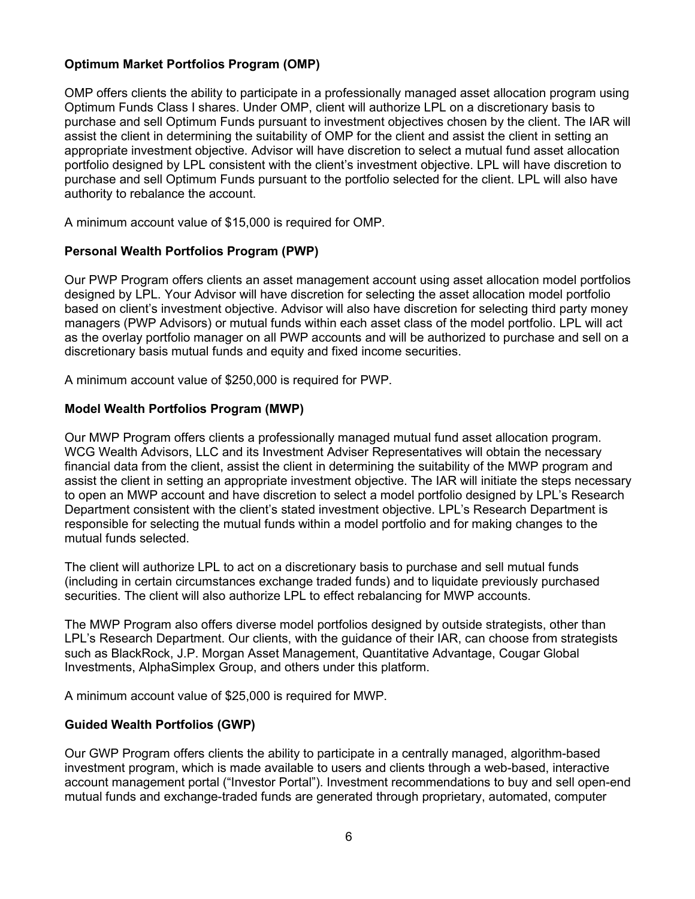### **Optimum Market Portfolios Program (OMP)**

OMP offers clients the ability to participate in a professionally managed asset allocation program using Optimum Funds Class I shares. Under OMP, client will authorize LPL on a discretionary basis to purchase and sell Optimum Funds pursuant to investment objectives chosen by the client. The IAR will assist the client in determining the suitability of OMP for the client and assist the client in setting an appropriate investment objective. Advisor will have discretion to select a mutual fund asset allocation portfolio designed by LPL consistent with the client's investment objective. LPL will have discretion to purchase and sell Optimum Funds pursuant to the portfolio selected for the client. LPL will also have authority to rebalance the account.

A minimum account value of \$15,000 is required for OMP.

### **Personal Wealth Portfolios Program (PWP)**

Our PWP Program offers clients an asset management account using asset allocation model portfolios designed by LPL. Your Advisor will have discretion for selecting the asset allocation model portfolio based on client's investment objective. Advisor will also have discretion for selecting third party money managers (PWP Advisors) or mutual funds within each asset class of the model portfolio. LPL will act as the overlay portfolio manager on all PWP accounts and will be authorized to purchase and sell on a discretionary basis mutual funds and equity and fixed income securities.

A minimum account value of \$250,000 is required for PWP.

### **Model Wealth Portfolios Program (MWP)**

Our MWP Program offers clients a professionally managed mutual fund asset allocation program. WCG Wealth Advisors, LLC and its Investment Adviser Representatives will obtain the necessary financial data from the client, assist the client in determining the suitability of the MWP program and assist the client in setting an appropriate investment objective. The IAR will initiate the steps necessary to open an MWP account and have discretion to select a model portfolio designed by LPL's Research Department consistent with the client's stated investment objective. LPL's Research Department is responsible for selecting the mutual funds within a model portfolio and for making changes to the mutual funds selected.

The client will authorize LPL to act on a discretionary basis to purchase and sell mutual funds (including in certain circumstances exchange traded funds) and to liquidate previously purchased securities. The client will also authorize LPL to effect rebalancing for MWP accounts.

The MWP Program also offers diverse model portfolios designed by outside strategists, other than LPL's Research Department. Our clients, with the guidance of their IAR, can choose from strategists such as BlackRock, J.P. Morgan Asset Management, Quantitative Advantage, Cougar Global Investments, AlphaSimplex Group, and others under this platform.

A minimum account value of \$25,000 is required for MWP.

### **Guided Wealth Portfolios (GWP)**

Our GWP Program offers clients the ability to participate in a centrally managed, algorithm-based investment program, which is made available to users and clients through a web-based, interactive account management portal ("Investor Portal"). Investment recommendations to buy and sell open-end mutual funds and exchange-traded funds are generated through proprietary, automated, computer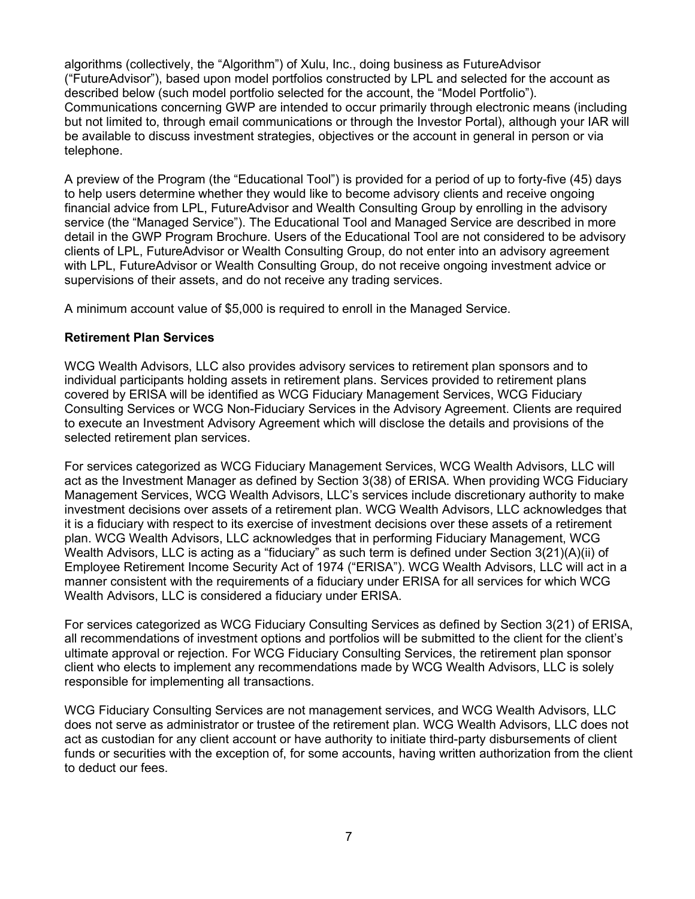algorithms (collectively, the "Algorithm") of Xulu, Inc., doing business as FutureAdvisor ("FutureAdvisor"), based upon model portfolios constructed by LPL and selected for the account as described below (such model portfolio selected for the account, the "Model Portfolio"). Communications concerning GWP are intended to occur primarily through electronic means (including but not limited to, through email communications or through the Investor Portal), although your IAR will be available to discuss investment strategies, objectives or the account in general in person or via telephone.

A preview of the Program (the "Educational Tool") is provided for a period of up to forty-five (45) days to help users determine whether they would like to become advisory clients and receive ongoing financial advice from LPL, FutureAdvisor and Wealth Consulting Group by enrolling in the advisory service (the "Managed Service"). The Educational Tool and Managed Service are described in more detail in the GWP Program Brochure. Users of the Educational Tool are not considered to be advisory clients of LPL, FutureAdvisor or Wealth Consulting Group, do not enter into an advisory agreement with LPL, FutureAdvisor or Wealth Consulting Group, do not receive ongoing investment advice or supervisions of their assets, and do not receive any trading services.

A minimum account value of \$5,000 is required to enroll in the Managed Service.

### **Retirement Plan Services**

WCG Wealth Advisors, LLC also provides advisory services to retirement plan sponsors and to individual participants holding assets in retirement plans. Services provided to retirement plans covered by ERISA will be identified as WCG Fiduciary Management Services, WCG Fiduciary Consulting Services or WCG Non-Fiduciary Services in the Advisory Agreement. Clients are required to execute an Investment Advisory Agreement which will disclose the details and provisions of the selected retirement plan services.

For services categorized as WCG Fiduciary Management Services, WCG Wealth Advisors, LLC will act as the Investment Manager as defined by Section 3(38) of ERISA. When providing WCG Fiduciary Management Services, WCG Wealth Advisors, LLC's services include discretionary authority to make investment decisions over assets of a retirement plan. WCG Wealth Advisors, LLC acknowledges that it is a fiduciary with respect to its exercise of investment decisions over these assets of a retirement plan. WCG Wealth Advisors, LLC acknowledges that in performing Fiduciary Management, WCG Wealth Advisors, LLC is acting as a "fiduciary" as such term is defined under Section 3(21)(A)(ii) of Employee Retirement Income Security Act of 1974 ("ERISA"). WCG Wealth Advisors, LLC will act in a manner consistent with the requirements of a fiduciary under ERISA for all services for which WCG Wealth Advisors, LLC is considered a fiduciary under ERISA.

For services categorized as WCG Fiduciary Consulting Services as defined by Section 3(21) of ERISA, all recommendations of investment options and portfolios will be submitted to the client for the client's ultimate approval or rejection. For WCG Fiduciary Consulting Services, the retirement plan sponsor client who elects to implement any recommendations made by WCG Wealth Advisors, LLC is solely responsible for implementing all transactions.

WCG Fiduciary Consulting Services are not management services, and WCG Wealth Advisors, LLC does not serve as administrator or trustee of the retirement plan. WCG Wealth Advisors, LLC does not act as custodian for any client account or have authority to initiate third-party disbursements of client funds or securities with the exception of, for some accounts, having written authorization from the client to deduct our fees.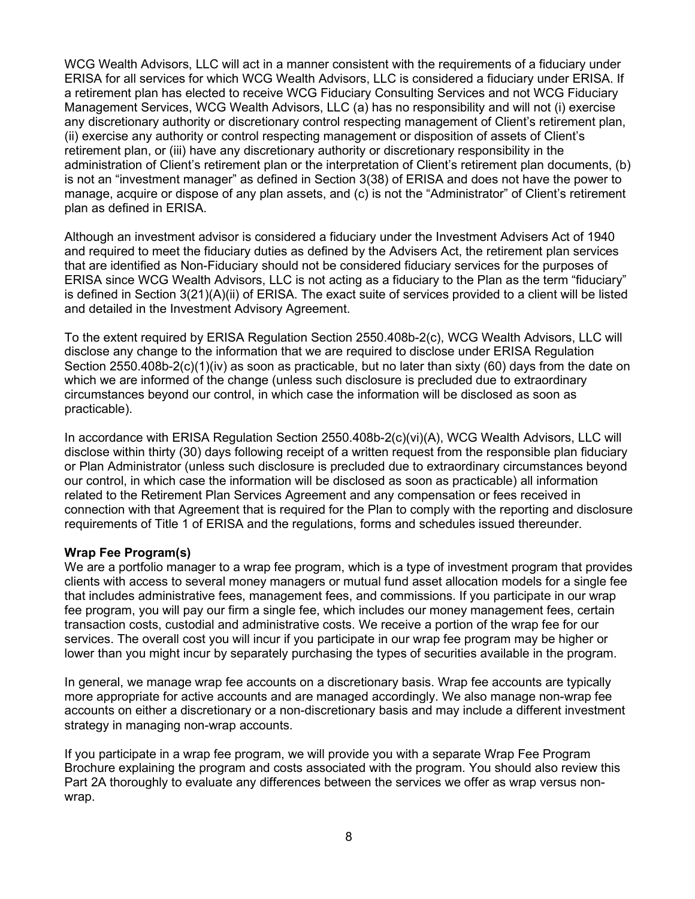WCG Wealth Advisors, LLC will act in a manner consistent with the requirements of a fiduciary under ERISA for all services for which WCG Wealth Advisors, LLC is considered a fiduciary under ERISA. If a retirement plan has elected to receive WCG Fiduciary Consulting Services and not WCG Fiduciary Management Services, WCG Wealth Advisors, LLC (a) has no responsibility and will not (i) exercise any discretionary authority or discretionary control respecting management of Client's retirement plan, (ii) exercise any authority or control respecting management or disposition of assets of Client's retirement plan, or (iii) have any discretionary authority or discretionary responsibility in the administration of Client's retirement plan or the interpretation of Client's retirement plan documents, (b) is not an "investment manager" as defined in Section 3(38) of ERISA and does not have the power to manage, acquire or dispose of any plan assets, and (c) is not the "Administrator" of Client's retirement plan as defined in ERISA.

Although an investment advisor is considered a fiduciary under the Investment Advisers Act of 1940 and required to meet the fiduciary duties as defined by the Advisers Act, the retirement plan services that are identified as Non-Fiduciary should not be considered fiduciary services for the purposes of ERISA since WCG Wealth Advisors, LLC is not acting as a fiduciary to the Plan as the term "fiduciary" is defined in Section 3(21)(A)(ii) of ERISA. The exact suite of services provided to a client will be listed and detailed in the Investment Advisory Agreement.

To the extent required by ERISA Regulation Section 2550.408b-2(c), WCG Wealth Advisors, LLC will disclose any change to the information that we are required to disclose under ERISA Regulation Section 2550.408b-2(c)(1)(iv) as soon as practicable, but no later than sixty (60) days from the date on which we are informed of the change (unless such disclosure is precluded due to extraordinary circumstances beyond our control, in which case the information will be disclosed as soon as practicable).

In accordance with ERISA Regulation Section 2550.408b-2(c)(vi)(A), WCG Wealth Advisors, LLC will disclose within thirty (30) days following receipt of a written request from the responsible plan fiduciary or Plan Administrator (unless such disclosure is precluded due to extraordinary circumstances beyond our control, in which case the information will be disclosed as soon as practicable) all information related to the Retirement Plan Services Agreement and any compensation or fees received in connection with that Agreement that is required for the Plan to comply with the reporting and disclosure requirements of Title 1 of ERISA and the regulations, forms and schedules issued thereunder.

### **Wrap Fee Program(s)**

We are a portfolio manager to a wrap fee program, which is a type of investment program that provides clients with access to several money managers or mutual fund asset allocation models for a single fee that includes administrative fees, management fees, and commissions. If you participate in our wrap fee program, you will pay our firm a single fee, which includes our money management fees, certain transaction costs, custodial and administrative costs. We receive a portion of the wrap fee for our services. The overall cost you will incur if you participate in our wrap fee program may be higher or lower than you might incur by separately purchasing the types of securities available in the program.

In general, we manage wrap fee accounts on a discretionary basis. Wrap fee accounts are typically more appropriate for active accounts and are managed accordingly. We also manage non-wrap fee accounts on either a discretionary or a non-discretionary basis and may include a different investment strategy in managing non-wrap accounts.

If you participate in a wrap fee program, we will provide you with a separate Wrap Fee Program Brochure explaining the program and costs associated with the program. You should also review this Part 2A thoroughly to evaluate any differences between the services we offer as wrap versus nonwrap.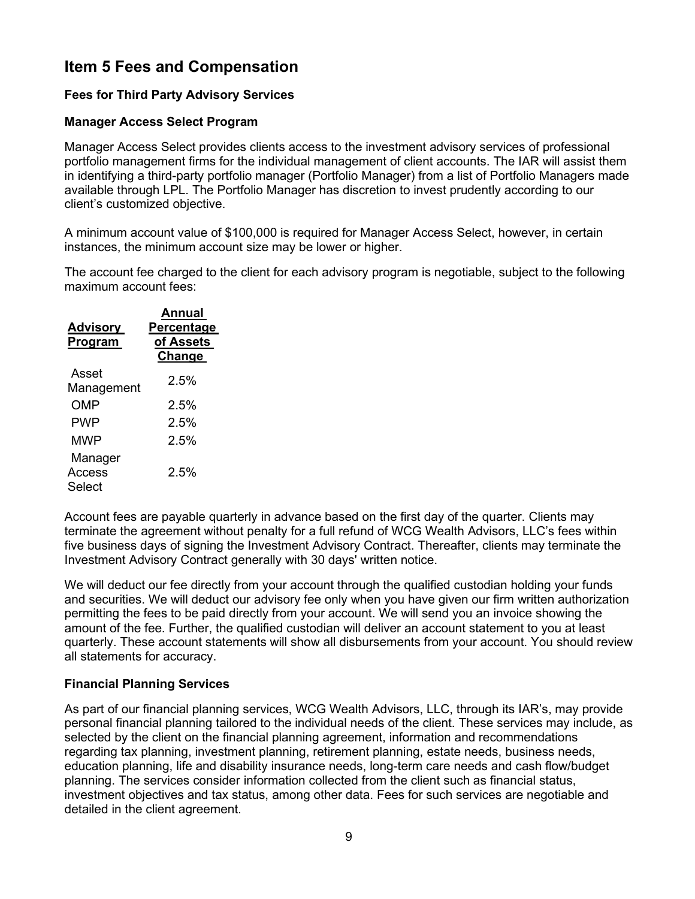# <span id="page-8-0"></span>**Item 5 Fees and Compensation**

### **Fees for Third Party Advisory Services**

### **Manager Access Select Program**

Manager Access Select provides clients access to the investment advisory services of professional portfolio management firms for the individual management of client accounts. The IAR will assist them in identifying a third-party portfolio manager (Portfolio Manager) from a list of Portfolio Managers made available through LPL. The Portfolio Manager has discretion to invest prudently according to our client's customized objective.

A minimum account value of \$100,000 is required for Manager Access Select, however, in certain instances, the minimum account size may be lower or higher.

The account fee charged to the client for each advisory program is negotiable, subject to the following maximum account fees:

| Advisory<br>Program         | <b>Annual</b><br>Percentage<br>of Assets<br>Change |
|-----------------------------|----------------------------------------------------|
| Asset<br>Management         | $2.5\%$                                            |
| OMP                         | 2.5%                                               |
| PWP                         | 2.5%                                               |
| MWP                         | 2.5%                                               |
| Manager<br>Access<br>Select | $2.5\%$                                            |

Account fees are payable quarterly in advance based on the first day of the quarter. Clients may terminate the agreement without penalty for a full refund of WCG Wealth Advisors, LLC's fees within five business days of signing the Investment Advisory Contract. Thereafter, clients may terminate the Investment Advisory Contract generally with 30 days' written notice.

We will deduct our fee directly from your account through the qualified custodian holding your funds and securities. We will deduct our advisory fee only when you have given our firm written authorization permitting the fees to be paid directly from your account. We will send you an invoice showing the amount of the fee. Further, the qualified custodian will deliver an account statement to you at least quarterly. These account statements will show all disbursements from your account. You should review all statements for accuracy.

### **Financial Planning Services**

As part of our financial planning services, WCG Wealth Advisors, LLC, through its IAR's, may provide personal financial planning tailored to the individual needs of the client. These services may include, as selected by the client on the financial planning agreement, information and recommendations regarding tax planning, investment planning, retirement planning, estate needs, business needs, education planning, life and disability insurance needs, long-term care needs and cash flow/budget planning. The services consider information collected from the client such as financial status, investment objectives and tax status, among other data. Fees for such services are negotiable and detailed in the client agreement.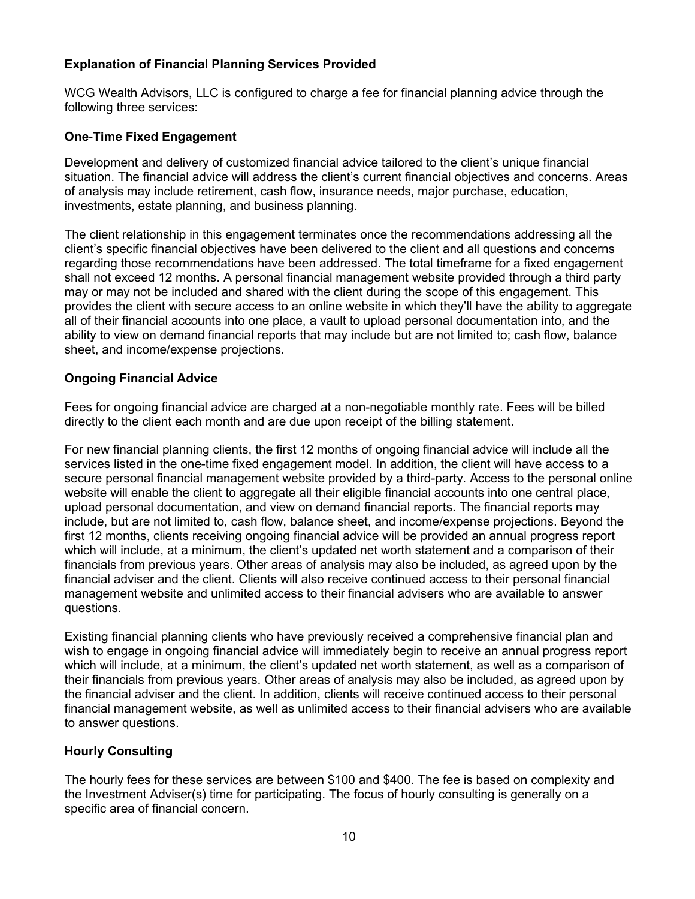### **Explanation of Financial Planning Services Provided**

WCG Wealth Advisors, LLC is configured to charge a fee for financial planning advice through the following three services:

### **One**‐**Time Fixed Engagement**

Development and delivery of customized financial advice tailored to the client's unique financial situation. The financial advice will address the client's current financial objectives and concerns. Areas of analysis may include retirement, cash flow, insurance needs, major purchase, education, investments, estate planning, and business planning.

The client relationship in this engagement terminates once the recommendations addressing all the client's specific financial objectives have been delivered to the client and all questions and concerns regarding those recommendations have been addressed. The total timeframe for a fixed engagement shall not exceed 12 months. A personal financial management website provided through a third party may or may not be included and shared with the client during the scope of this engagement. This provides the client with secure access to an online website in which they'll have the ability to aggregate all of their financial accounts into one place, a vault to upload personal documentation into, and the ability to view on demand financial reports that may include but are not limited to; cash flow, balance sheet, and income/expense projections.

#### **Ongoing Financial Advice**

Fees for ongoing financial advice are charged at a non-negotiable monthly rate. Fees will be billed directly to the client each month and are due upon receipt of the billing statement.

For new financial planning clients, the first 12 months of ongoing financial advice will include all the services listed in the one-time fixed engagement model. In addition, the client will have access to a secure personal financial management website provided by a third-party. Access to the personal online website will enable the client to aggregate all their eligible financial accounts into one central place, upload personal documentation, and view on demand financial reports. The financial reports may include, but are not limited to, cash flow, balance sheet, and income/expense projections. Beyond the first 12 months, clients receiving ongoing financial advice will be provided an annual progress report which will include, at a minimum, the client's updated net worth statement and a comparison of their financials from previous years. Other areas of analysis may also be included, as agreed upon by the financial adviser and the client. Clients will also receive continued access to their personal financial management website and unlimited access to their financial advisers who are available to answer questions.

Existing financial planning clients who have previously received a comprehensive financial plan and wish to engage in ongoing financial advice will immediately begin to receive an annual progress report which will include, at a minimum, the client's updated net worth statement, as well as a comparison of their financials from previous years. Other areas of analysis may also be included, as agreed upon by the financial adviser and the client. In addition, clients will receive continued access to their personal financial management website, as well as unlimited access to their financial advisers who are available to answer questions.

### **Hourly Consulting**

The hourly fees for these services are between \$100 and \$400. The fee is based on complexity and the Investment Adviser(s) time for participating. The focus of hourly consulting is generally on a specific area of financial concern.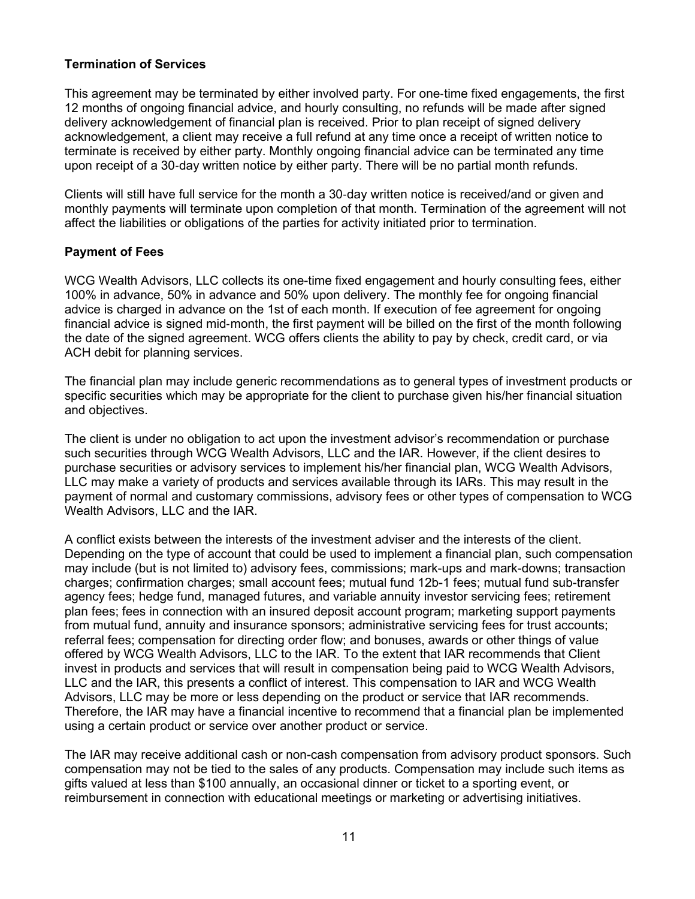### **Termination of Services**

This agreement may be terminated by either involved party. For one‐time fixed engagements, the first 12 months of ongoing financial advice, and hourly consulting, no refunds will be made after signed delivery acknowledgement of financial plan is received. Prior to plan receipt of signed delivery acknowledgement, a client may receive a full refund at any time once a receipt of written notice to terminate is received by either party. Monthly ongoing financial advice can be terminated any time upon receipt of a 30‐day written notice by either party. There will be no partial month refunds.

Clients will still have full service for the month a 30‐day written notice is received/and or given and monthly payments will terminate upon completion of that month. Termination of the agreement will not affect the liabilities or obligations of the parties for activity initiated prior to termination.

#### **Payment of Fees**

WCG Wealth Advisors, LLC collects its one-time fixed engagement and hourly consulting fees, either 100% in advance, 50% in advance and 50% upon delivery. The monthly fee for ongoing financial advice is charged in advance on the 1st of each month. If execution of fee agreement for ongoing financial advice is signed mid‐month, the first payment will be billed on the first of the month following the date of the signed agreement. WCG offers clients the ability to pay by check, credit card, or via ACH debit for planning services.

The financial plan may include generic recommendations as to general types of investment products or specific securities which may be appropriate for the client to purchase given his/her financial situation and objectives.

The client is under no obligation to act upon the investment advisor's recommendation or purchase such securities through WCG Wealth Advisors, LLC and the IAR. However, if the client desires to purchase securities or advisory services to implement his/her financial plan, WCG Wealth Advisors, LLC may make a variety of products and services available through its IARs. This may result in the payment of normal and customary commissions, advisory fees or other types of compensation to WCG Wealth Advisors, LLC and the IAR.

A conflict exists between the interests of the investment adviser and the interests of the client. Depending on the type of account that could be used to implement a financial plan, such compensation may include (but is not limited to) advisory fees, commissions; mark-ups and mark-downs; transaction charges; confirmation charges; small account fees; mutual fund 12b-1 fees; mutual fund sub-transfer agency fees; hedge fund, managed futures, and variable annuity investor servicing fees; retirement plan fees; fees in connection with an insured deposit account program; marketing support payments from mutual fund, annuity and insurance sponsors; administrative servicing fees for trust accounts; referral fees; compensation for directing order flow; and bonuses, awards or other things of value offered by WCG Wealth Advisors, LLC to the IAR. To the extent that IAR recommends that Client invest in products and services that will result in compensation being paid to WCG Wealth Advisors, LLC and the IAR, this presents a conflict of interest. This compensation to IAR and WCG Wealth Advisors, LLC may be more or less depending on the product or service that IAR recommends. Therefore, the IAR may have a financial incentive to recommend that a financial plan be implemented using a certain product or service over another product or service.

The IAR may receive additional cash or non-cash compensation from advisory product sponsors. Such compensation may not be tied to the sales of any products. Compensation may include such items as gifts valued at less than \$100 annually, an occasional dinner or ticket to a sporting event, or reimbursement in connection with educational meetings or marketing or advertising initiatives.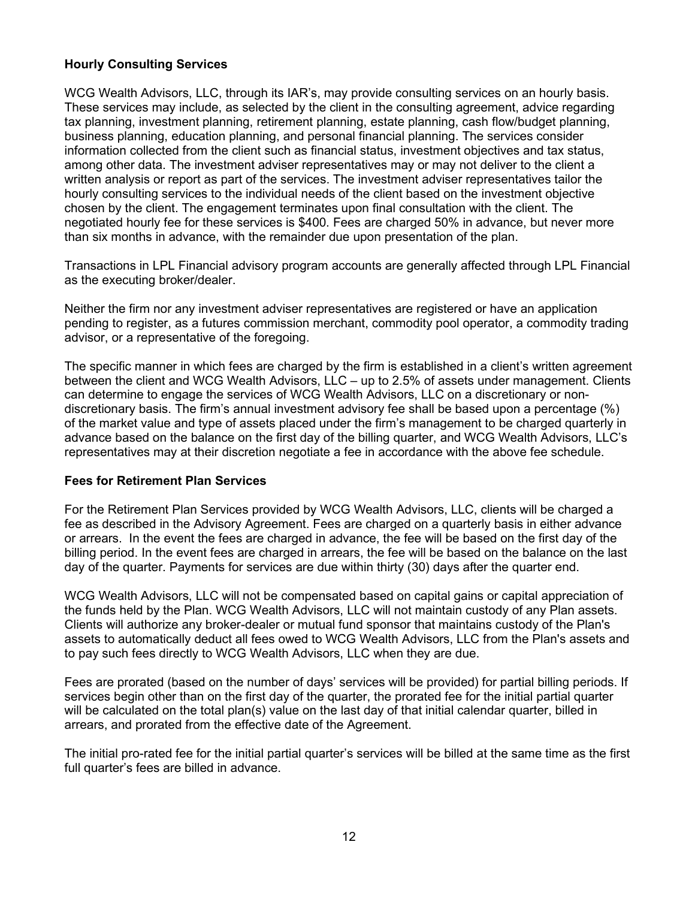### **Hourly Consulting Services**

WCG Wealth Advisors, LLC, through its IAR's, may provide consulting services on an hourly basis. These services may include, as selected by the client in the consulting agreement, advice regarding tax planning, investment planning, retirement planning, estate planning, cash flow/budget planning, business planning, education planning, and personal financial planning. The services consider information collected from the client such as financial status, investment objectives and tax status, among other data. The investment adviser representatives may or may not deliver to the client a written analysis or report as part of the services. The investment adviser representatives tailor the hourly consulting services to the individual needs of the client based on the investment objective chosen by the client. The engagement terminates upon final consultation with the client. The negotiated hourly fee for these services is \$400. Fees are charged 50% in advance, but never more than six months in advance, with the remainder due upon presentation of the plan.

Transactions in LPL Financial advisory program accounts are generally affected through LPL Financial as the executing broker/dealer.

Neither the firm nor any investment adviser representatives are registered or have an application pending to register, as a futures commission merchant, commodity pool operator, a commodity trading advisor, or a representative of the foregoing.

The specific manner in which fees are charged by the firm is established in a client's written agreement between the client and WCG Wealth Advisors, LLC – up to 2.5% of assets under management. Clients can determine to engage the services of WCG Wealth Advisors, LLC on a discretionary or nondiscretionary basis. The firm's annual investment advisory fee shall be based upon a percentage (%) of the market value and type of assets placed under the firm's management to be charged quarterly in advance based on the balance on the first day of the billing quarter, and WCG Wealth Advisors, LLC's representatives may at their discretion negotiate a fee in accordance with the above fee schedule.

### **Fees for Retirement Plan Services**

For the Retirement Plan Services provided by WCG Wealth Advisors, LLC, clients will be charged a fee as described in the Advisory Agreement. Fees are charged on a quarterly basis in either advance or arrears. In the event the fees are charged in advance, the fee will be based on the first day of the billing period. In the event fees are charged in arrears, the fee will be based on the balance on the last day of the quarter. Payments for services are due within thirty (30) days after the quarter end.

WCG Wealth Advisors, LLC will not be compensated based on capital gains or capital appreciation of the funds held by the Plan. WCG Wealth Advisors, LLC will not maintain custody of any Plan assets. Clients will authorize any broker-dealer or mutual fund sponsor that maintains custody of the Plan's assets to automatically deduct all fees owed to WCG Wealth Advisors, LLC from the Plan's assets and to pay such fees directly to WCG Wealth Advisors, LLC when they are due.

Fees are prorated (based on the number of days' services will be provided) for partial billing periods. If services begin other than on the first day of the quarter, the prorated fee for the initial partial quarter will be calculated on the total plan(s) value on the last day of that initial calendar quarter, billed in arrears, and prorated from the effective date of the Agreement.

The initial pro-rated fee for the initial partial quarter's services will be billed at the same time as the first full quarter's fees are billed in advance.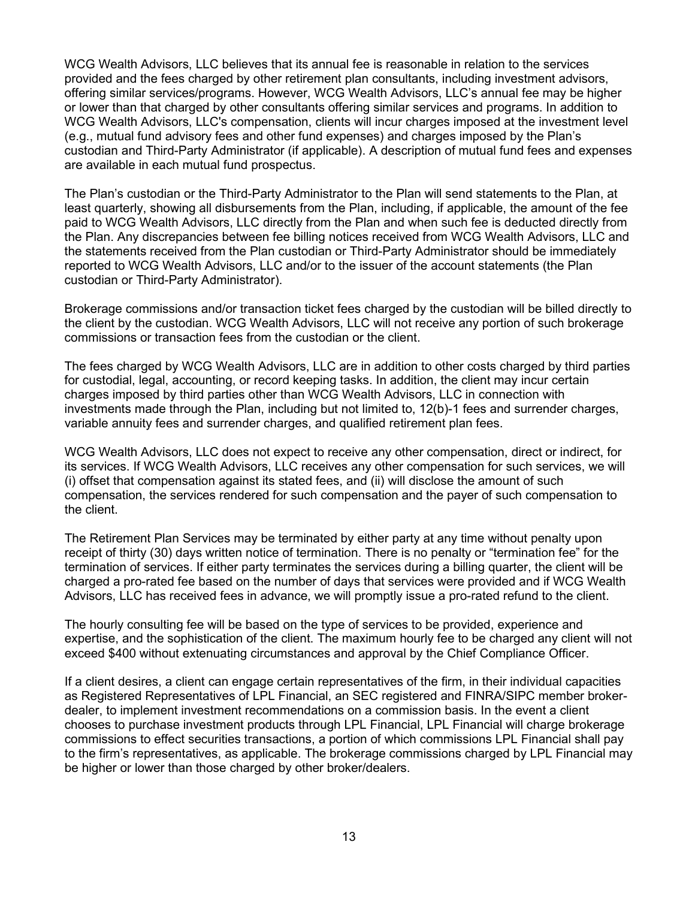WCG Wealth Advisors, LLC believes that its annual fee is reasonable in relation to the services provided and the fees charged by other retirement plan consultants, including investment advisors, offering similar services/programs. However, WCG Wealth Advisors, LLC's annual fee may be higher or lower than that charged by other consultants offering similar services and programs. In addition to WCG Wealth Advisors, LLC's compensation, clients will incur charges imposed at the investment level (e.g., mutual fund advisory fees and other fund expenses) and charges imposed by the Plan's custodian and Third-Party Administrator (if applicable). A description of mutual fund fees and expenses are available in each mutual fund prospectus.

The Plan's custodian or the Third-Party Administrator to the Plan will send statements to the Plan, at least quarterly, showing all disbursements from the Plan, including, if applicable, the amount of the fee paid to WCG Wealth Advisors, LLC directly from the Plan and when such fee is deducted directly from the Plan. Any discrepancies between fee billing notices received from WCG Wealth Advisors, LLC and the statements received from the Plan custodian or Third-Party Administrator should be immediately reported to WCG Wealth Advisors, LLC and/or to the issuer of the account statements (the Plan custodian or Third-Party Administrator).

Brokerage commissions and/or transaction ticket fees charged by the custodian will be billed directly to the client by the custodian. WCG Wealth Advisors, LLC will not receive any portion of such brokerage commissions or transaction fees from the custodian or the client.

The fees charged by WCG Wealth Advisors, LLC are in addition to other costs charged by third parties for custodial, legal, accounting, or record keeping tasks. In addition, the client may incur certain charges imposed by third parties other than WCG Wealth Advisors, LLC in connection with investments made through the Plan, including but not limited to, 12(b)-1 fees and surrender charges, variable annuity fees and surrender charges, and qualified retirement plan fees.

WCG Wealth Advisors, LLC does not expect to receive any other compensation, direct or indirect, for its services. If WCG Wealth Advisors, LLC receives any other compensation for such services, we will (i) offset that compensation against its stated fees, and (ii) will disclose the amount of such compensation, the services rendered for such compensation and the payer of such compensation to the client.

The Retirement Plan Services may be terminated by either party at any time without penalty upon receipt of thirty (30) days written notice of termination. There is no penalty or "termination fee" for the termination of services. If either party terminates the services during a billing quarter, the client will be charged a pro-rated fee based on the number of days that services were provided and if WCG Wealth Advisors, LLC has received fees in advance, we will promptly issue a pro-rated refund to the client.

The hourly consulting fee will be based on the type of services to be provided, experience and expertise, and the sophistication of the client. The maximum hourly fee to be charged any client will not exceed \$400 without extenuating circumstances and approval by the Chief Compliance Officer.

If a client desires, a client can engage certain representatives of the firm, in their individual capacities as Registered Representatives of LPL Financial, an SEC registered and FINRA/SIPC member brokerdealer, to implement investment recommendations on a commission basis. In the event a client chooses to purchase investment products through LPL Financial, LPL Financial will charge brokerage commissions to effect securities transactions, a portion of which commissions LPL Financial shall pay to the firm's representatives, as applicable. The brokerage commissions charged by LPL Financial may be higher or lower than those charged by other broker/dealers.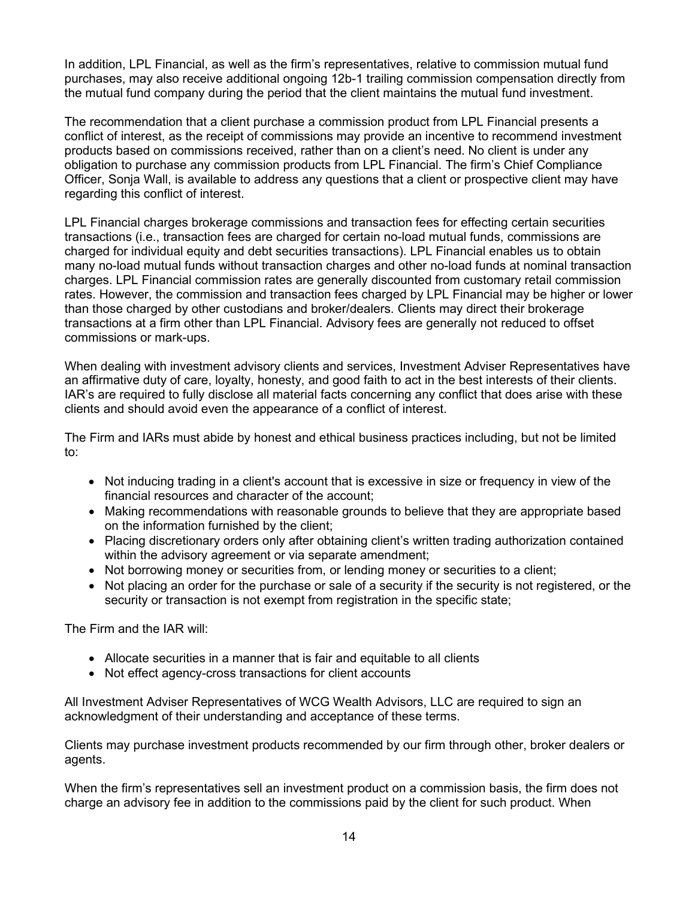In addition, LPL Financial, as well as the firm's representatives, relative to commission mutual fund purchases, may also receive additional ongoing 12b-1 trailing commission compensation directly from the mutual fund company during the period that the client maintains the mutual fund investment.

The recommendation that a client purchase a commission product from LPL Financial presents a conflict of interest, as the receipt of commissions may provide an incentive to recommend investment products based on commissions received, rather than on a client's need. No client is under any obligation to purchase any commission products from LPL Financial. The firm's Chief Compliance Officer, Sonja Wall, is available to address any questions that a client or prospective client may have regarding this conflict of interest.

LPL Financial charges brokerage commissions and transaction fees for effecting certain securities transactions (i.e., transaction fees are charged for certain no-load mutual funds, commissions are charged for individual equity and debt securities transactions). LPL Financial enables us to obtain many no-load mutual funds without transaction charges and other no-load funds at nominal transaction charges. LPL Financial commission rates are generally discounted from customary retail commission rates. However, the commission and transaction fees charged by LPL Financial may be higher or lower than those charged by other custodians and broker/dealers. Clients may direct their brokerage transactions at a firm other than LPL Financial. Advisory fees are generally not reduced to offset commissions or mark-ups.

When dealing with investment advisory clients and services, Investment Adviser Representatives have an affirmative duty of care, loyalty, honesty, and good faith to act in the best interests of their clients. IAR's are required to fully disclose all material facts concerning any conflict that does arise with these clients and should avoid even the appearance of a conflict of interest.

The Firm and IARs must abide by honest and ethical business practices including, but not be limited to:

- Not inducing trading in a client's account that is excessive in size or frequency in view of the financial resources and character of the account;
- Making recommendations with reasonable grounds to believe that they are appropriate based on the information furnished by the client;
- Placing discretionary orders only after obtaining client's written trading authorization contained within the advisory agreement or via separate amendment;
- Not borrowing money or securities from, or lending money or securities to a client;
- Not placing an order for the purchase or sale of a security if the security is not registered, or the security or transaction is not exempt from registration in the specific state;

The Firm and the IAR will:

- Allocate securities in a manner that is fair and equitable to all clients
- Not effect agency-cross transactions for client accounts

All Investment Adviser Representatives of WCG Wealth Advisors, LLC are required to sign an acknowledgment of their understanding and acceptance of these terms.

Clients may purchase investment products recommended by our firm through other, broker dealers or agents.

When the firm's representatives sell an investment product on a commission basis, the firm does not charge an advisory fee in addition to the commissions paid by the client for such product. When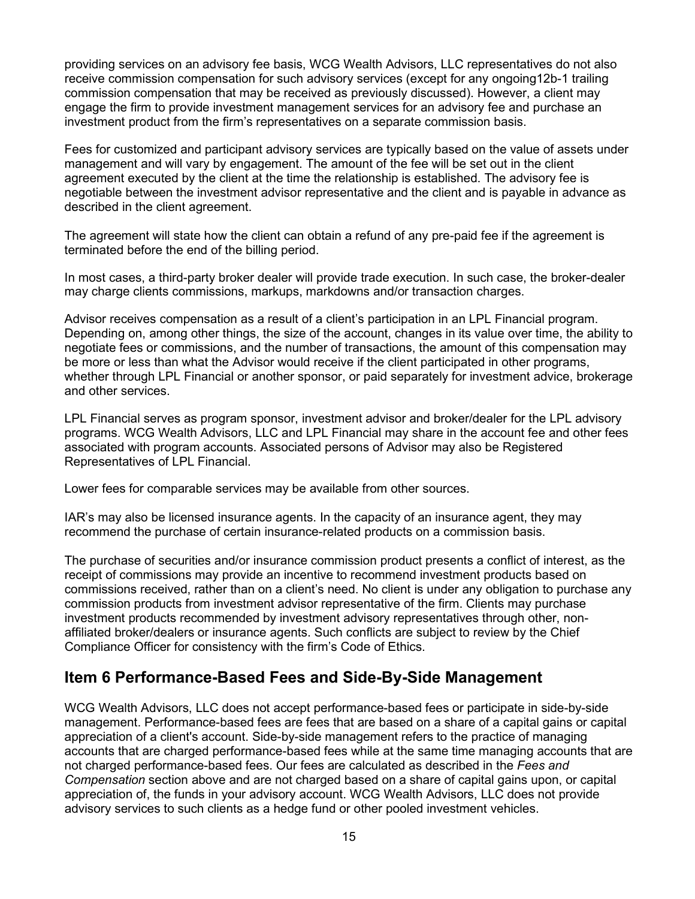providing services on an advisory fee basis, WCG Wealth Advisors, LLC representatives do not also receive commission compensation for such advisory services (except for any ongoing12b-1 trailing commission compensation that may be received as previously discussed). However, a client may engage the firm to provide investment management services for an advisory fee and purchase an investment product from the firm's representatives on a separate commission basis.

Fees for customized and participant advisory services are typically based on the value of assets under management and will vary by engagement. The amount of the fee will be set out in the client agreement executed by the client at the time the relationship is established. The advisory fee is negotiable between the investment advisor representative and the client and is payable in advance as described in the client agreement.

The agreement will state how the client can obtain a refund of any pre-paid fee if the agreement is terminated before the end of the billing period.

In most cases, a third-party broker dealer will provide trade execution. In such case, the broker-dealer may charge clients commissions, markups, markdowns and/or transaction charges.

Advisor receives compensation as a result of a client's participation in an LPL Financial program. Depending on, among other things, the size of the account, changes in its value over time, the ability to negotiate fees or commissions, and the number of transactions, the amount of this compensation may be more or less than what the Advisor would receive if the client participated in other programs, whether through LPL Financial or another sponsor, or paid separately for investment advice, brokerage and other services.

LPL Financial serves as program sponsor, investment advisor and broker/dealer for the LPL advisory programs. WCG Wealth Advisors, LLC and LPL Financial may share in the account fee and other fees associated with program accounts. Associated persons of Advisor may also be Registered Representatives of LPL Financial.

Lower fees for comparable services may be available from other sources.

IAR's may also be licensed insurance agents. In the capacity of an insurance agent, they may recommend the purchase of certain insurance-related products on a commission basis.

The purchase of securities and/or insurance commission product presents a conflict of interest, as the receipt of commissions may provide an incentive to recommend investment products based on commissions received, rather than on a client's need. No client is under any obligation to purchase any commission products from investment advisor representative of the firm. Clients may purchase investment products recommended by investment advisory representatives through other, nonaffiliated broker/dealers or insurance agents. Such conflicts are subject to review by the Chief Compliance Officer for consistency with the firm's Code of Ethics.

### <span id="page-14-0"></span>**Item 6 Performance-Based Fees and Side-By-Side Management**

WCG Wealth Advisors, LLC does not accept performance-based fees or participate in side-by-side management. Performance-based fees are fees that are based on a share of a capital gains or capital appreciation of a client's account. Side-by-side management refers to the practice of managing accounts that are charged performance-based fees while at the same time managing accounts that are not charged performance-based fees. Our fees are calculated as described in the *Fees and Compensation* section above and are not charged based on a share of capital gains upon, or capital appreciation of, the funds in your advisory account. WCG Wealth Advisors, LLC does not provide advisory services to such clients as a hedge fund or other pooled investment vehicles.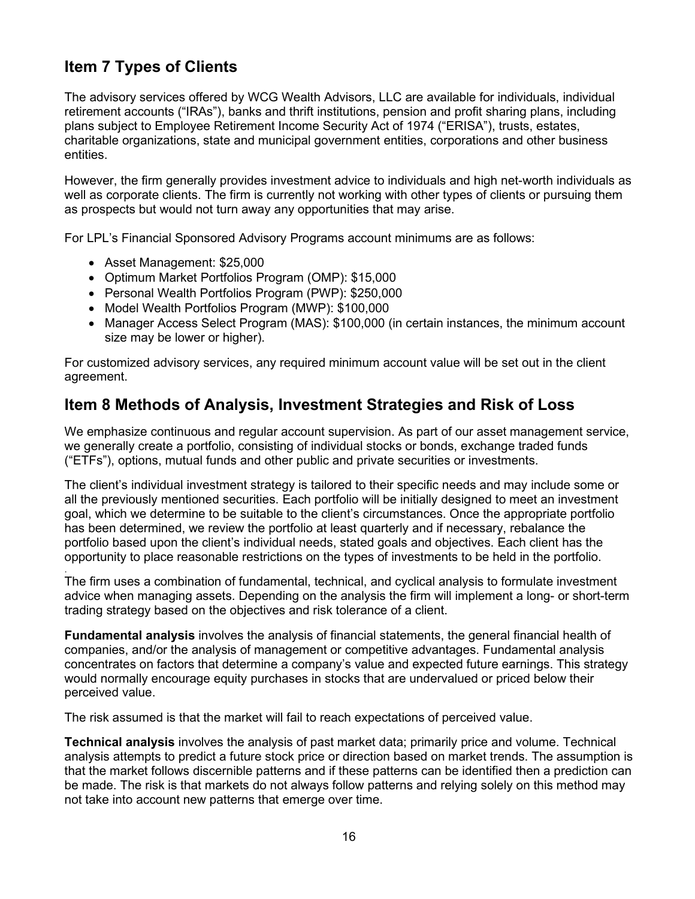# <span id="page-15-0"></span>**Item 7 Types of Clients**

The advisory services offered by WCG Wealth Advisors, LLC are available for individuals, individual retirement accounts ("IRAs"), banks and thrift institutions, pension and profit sharing plans, including plans subject to Employee Retirement Income Security Act of 1974 ("ERISA"), trusts, estates, charitable organizations, state and municipal government entities, corporations and other business entities.

However, the firm generally provides investment advice to individuals and high net-worth individuals as well as corporate clients. The firm is currently not working with other types of clients or pursuing them as prospects but would not turn away any opportunities that may arise.

For LPL's Financial Sponsored Advisory Programs account minimums are as follows:

- Asset Management: \$25,000
- Optimum Market Portfolios Program (OMP): \$15,000
- Personal Wealth Portfolios Program (PWP): \$250,000
- Model Wealth Portfolios Program (MWP): \$100,000
- Manager Access Select Program (MAS): \$100,000 (in certain instances, the minimum account size may be lower or higher).

For customized advisory services, any required minimum account value will be set out in the client agreement.

### <span id="page-15-1"></span>**Item 8 Methods of Analysis, Investment Strategies and Risk of Loss**

We emphasize continuous and regular account supervision. As part of our asset management service, we generally create a portfolio, consisting of individual stocks or bonds, exchange traded funds ("ETFs"), options, mutual funds and other public and private securities or investments.

The client's individual investment strategy is tailored to their specific needs and may include some or all the previously mentioned securities. Each portfolio will be initially designed to meet an investment goal, which we determine to be suitable to the client's circumstances. Once the appropriate portfolio has been determined, we review the portfolio at least quarterly and if necessary, rebalance the portfolio based upon the client's individual needs, stated goals and objectives. Each client has the opportunity to place reasonable restrictions on the types of investments to be held in the portfolio.

. The firm uses a combination of fundamental, technical, and cyclical analysis to formulate investment advice when managing assets. Depending on the analysis the firm will implement a long- or short-term trading strategy based on the objectives and risk tolerance of a client.

**Fundamental analysis** involves the analysis of financial statements, the general financial health of companies, and/or the analysis of management or competitive advantages. Fundamental analysis concentrates on factors that determine a company's value and expected future earnings. This strategy would normally encourage equity purchases in stocks that are undervalued or priced below their perceived value.

The risk assumed is that the market will fail to reach expectations of perceived value.

**Technical analysis** involves the analysis of past market data; primarily price and volume. Technical analysis attempts to predict a future stock price or direction based on market trends. The assumption is that the market follows discernible patterns and if these patterns can be identified then a prediction can be made. The risk is that markets do not always follow patterns and relying solely on this method may not take into account new patterns that emerge over time.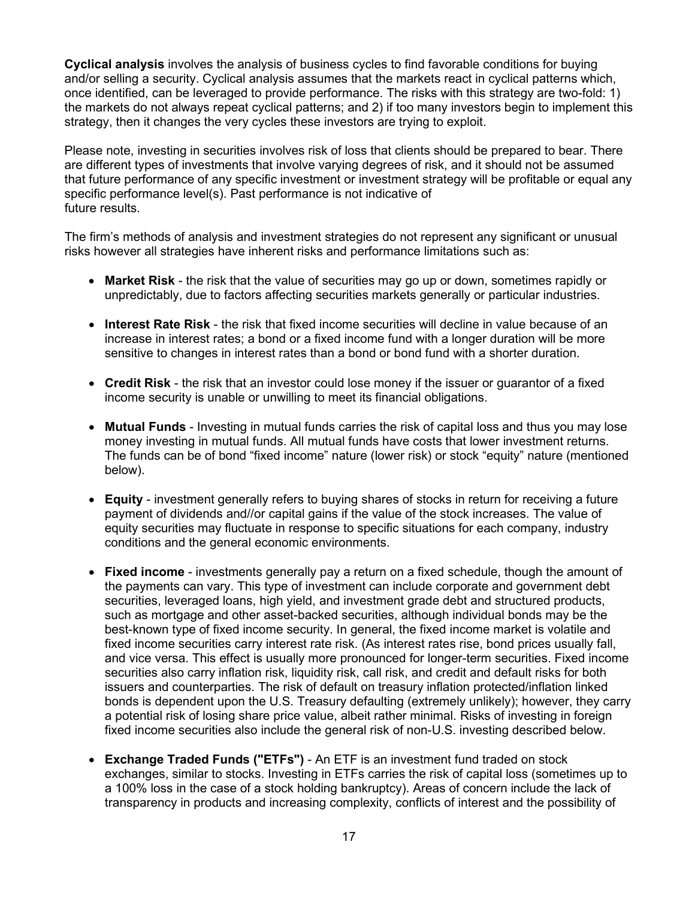**Cyclical analysis** involves the analysis of business cycles to find favorable conditions for buying and/or selling a security. Cyclical analysis assumes that the markets react in cyclical patterns which, once identified, can be leveraged to provide performance. The risks with this strategy are two-fold: 1) the markets do not always repeat cyclical patterns; and 2) if too many investors begin to implement this strategy, then it changes the very cycles these investors are trying to exploit.

Please note, investing in securities involves risk of loss that clients should be prepared to bear. There are different types of investments that involve varying degrees of risk, and it should not be assumed that future performance of any specific investment or investment strategy will be profitable or equal any specific performance level(s). Past performance is not indicative of future results.

The firm's methods of analysis and investment strategies do not represent any significant or unusual risks however all strategies have inherent risks and performance limitations such as:

- **Market Risk** the risk that the value of securities may go up or down, sometimes rapidly or unpredictably, due to factors affecting securities markets generally or particular industries.
- **Interest Rate Risk** the risk that fixed income securities will decline in value because of an increase in interest rates; a bond or a fixed income fund with a longer duration will be more sensitive to changes in interest rates than a bond or bond fund with a shorter duration.
- **Credit Risk** the risk that an investor could lose money if the issuer or guarantor of a fixed income security is unable or unwilling to meet its financial obligations.
- **Mutual Funds** Investing in mutual funds carries the risk of capital loss and thus you may lose money investing in mutual funds. All mutual funds have costs that lower investment returns. The funds can be of bond "fixed income" nature (lower risk) or stock "equity" nature (mentioned below).
- **Equity** investment generally refers to buying shares of stocks in return for receiving a future payment of dividends and//or capital gains if the value of the stock increases. The value of equity securities may fluctuate in response to specific situations for each company, industry conditions and the general economic environments.
- **Fixed income** investments generally pay a return on a fixed schedule, though the amount of the payments can vary. This type of investment can include corporate and government debt securities, leveraged loans, high yield, and investment grade debt and structured products, such as mortgage and other asset-backed securities, although individual bonds may be the best-known type of fixed income security. In general, the fixed income market is volatile and fixed income securities carry interest rate risk. (As interest rates rise, bond prices usually fall, and vice versa. This effect is usually more pronounced for longer-term securities. Fixed income securities also carry inflation risk, liquidity risk, call risk, and credit and default risks for both issuers and counterparties. The risk of default on treasury inflation protected/inflation linked bonds is dependent upon the U.S. Treasury defaulting (extremely unlikely); however, they carry a potential risk of losing share price value, albeit rather minimal. Risks of investing in foreign fixed income securities also include the general risk of non-U.S. investing described below.
- **Exchange Traded Funds ("ETFs")** An ETF is an investment fund traded on stock exchanges, similar to stocks. Investing in ETFs carries the risk of capital loss (sometimes up to a 100% loss in the case of a stock holding bankruptcy). Areas of concern include the lack of transparency in products and increasing complexity, conflicts of interest and the possibility of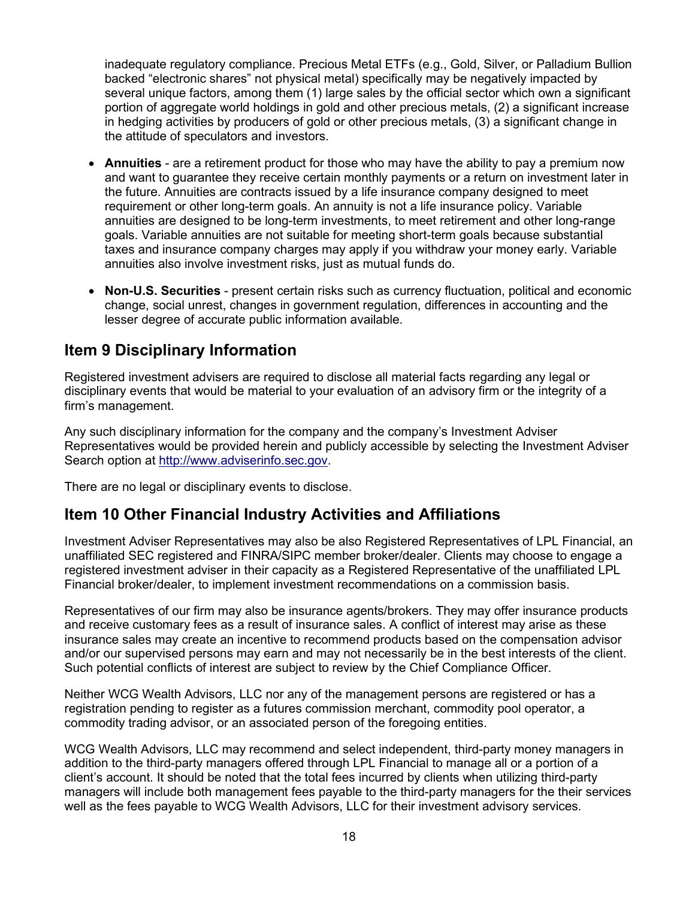inadequate regulatory compliance. Precious Metal ETFs (e.g., Gold, Silver, or Palladium Bullion backed "electronic shares" not physical metal) specifically may be negatively impacted by several unique factors, among them (1) large sales by the official sector which own a significant portion of aggregate world holdings in gold and other precious metals, (2) a significant increase in hedging activities by producers of gold or other precious metals, (3) a significant change in the attitude of speculators and investors.

- **Annuities** are a retirement product for those who may have the ability to pay a premium now and want to guarantee they receive certain monthly payments or a return on investment later in the future. Annuities are contracts issued by a life insurance company designed to meet requirement or other long-term goals. An annuity is not a life insurance policy. Variable annuities are designed to be long-term investments, to meet retirement and other long-range goals. Variable annuities are not suitable for meeting short-term goals because substantial taxes and insurance company charges may apply if you withdraw your money early. Variable annuities also involve investment risks, just as mutual funds do.
- **Non-U.S. Securities** present certain risks such as currency fluctuation, political and economic change, social unrest, changes in government regulation, differences in accounting and the lesser degree of accurate public information available.

# <span id="page-17-0"></span>**Item 9 Disciplinary Information**

Registered investment advisers are required to disclose all material facts regarding any legal or disciplinary events that would be material to your evaluation of an advisory firm or the integrity of a firm's management.

Any such disciplinary information for the company and the company's Investment Adviser Representatives would be provided herein and publicly accessible by selecting the Investment Adviser Search option at [http://www.adviserinfo.sec.gov.](http://www.adviserinfo.sec.gov/)

There are no legal or disciplinary events to disclose.

# <span id="page-17-1"></span>**Item 10 Other Financial Industry Activities and Affiliations**

Investment Adviser Representatives may also be also Registered Representatives of LPL Financial, an unaffiliated SEC registered and FINRA/SIPC member broker/dealer. Clients may choose to engage a registered investment adviser in their capacity as a Registered Representative of the unaffiliated LPL Financial broker/dealer, to implement investment recommendations on a commission basis.

Representatives of our firm may also be insurance agents/brokers. They may offer insurance products and receive customary fees as a result of insurance sales. A conflict of interest may arise as these insurance sales may create an incentive to recommend products based on the compensation advisor and/or our supervised persons may earn and may not necessarily be in the best interests of the client. Such potential conflicts of interest are subject to review by the Chief Compliance Officer.

Neither WCG Wealth Advisors, LLC nor any of the management persons are registered or has a registration pending to register as a futures commission merchant, commodity pool operator, a commodity trading advisor, or an associated person of the foregoing entities.

WCG Wealth Advisors, LLC may recommend and select independent, third-party money managers in addition to the third-party managers offered through LPL Financial to manage all or a portion of a client's account. It should be noted that the total fees incurred by clients when utilizing third-party managers will include both management fees payable to the third-party managers for the their services well as the fees payable to WCG Wealth Advisors, LLC for their investment advisory services.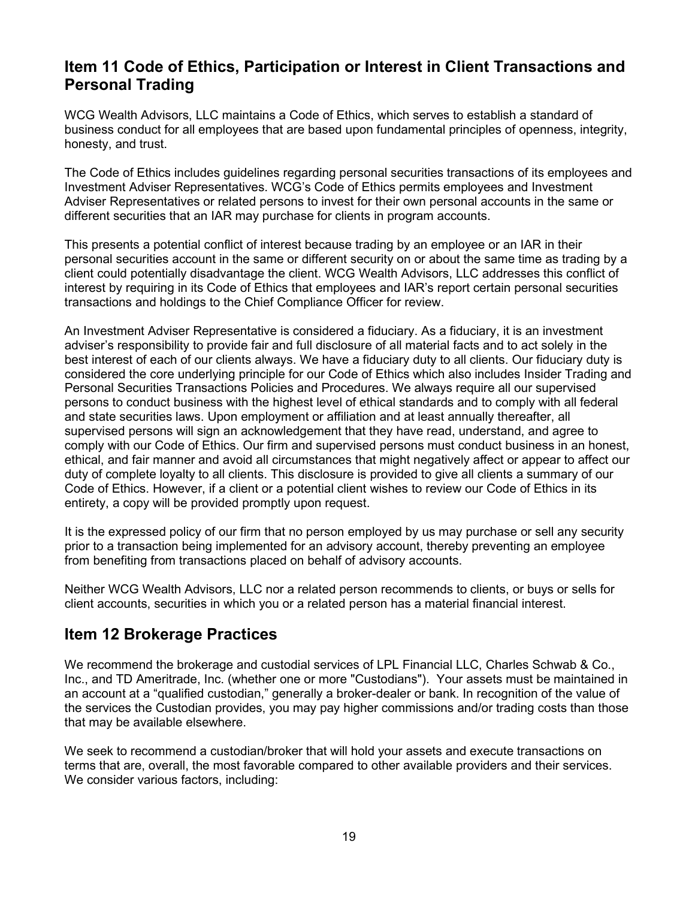## <span id="page-18-0"></span>**Item 11 Code of Ethics, Participation or Interest in Client Transactions and Personal Trading**

WCG Wealth Advisors, LLC maintains a Code of Ethics, which serves to establish a standard of business conduct for all employees that are based upon fundamental principles of openness, integrity, honesty, and trust.

The Code of Ethics includes guidelines regarding personal securities transactions of its employees and Investment Adviser Representatives. WCG's Code of Ethics permits employees and Investment Adviser Representatives or related persons to invest for their own personal accounts in the same or different securities that an IAR may purchase for clients in program accounts.

This presents a potential conflict of interest because trading by an employee or an IAR in their personal securities account in the same or different security on or about the same time as trading by a client could potentially disadvantage the client. WCG Wealth Advisors, LLC addresses this conflict of interest by requiring in its Code of Ethics that employees and IAR's report certain personal securities transactions and holdings to the Chief Compliance Officer for review.

An Investment Adviser Representative is considered a fiduciary. As a fiduciary, it is an investment adviser's responsibility to provide fair and full disclosure of all material facts and to act solely in the best interest of each of our clients always. We have a fiduciary duty to all clients. Our fiduciary duty is considered the core underlying principle for our Code of Ethics which also includes Insider Trading and Personal Securities Transactions Policies and Procedures. We always require all our supervised persons to conduct business with the highest level of ethical standards and to comply with all federal and state securities laws. Upon employment or affiliation and at least annually thereafter, all supervised persons will sign an acknowledgement that they have read, understand, and agree to comply with our Code of Ethics. Our firm and supervised persons must conduct business in an honest, ethical, and fair manner and avoid all circumstances that might negatively affect or appear to affect our duty of complete loyalty to all clients. This disclosure is provided to give all clients a summary of our Code of Ethics. However, if a client or a potential client wishes to review our Code of Ethics in its entirety, a copy will be provided promptly upon request.

It is the expressed policy of our firm that no person employed by us may purchase or sell any security prior to a transaction being implemented for an advisory account, thereby preventing an employee from benefiting from transactions placed on behalf of advisory accounts.

Neither WCG Wealth Advisors, LLC nor a related person recommends to clients, or buys or sells for client accounts, securities in which you or a related person has a material financial interest.

# <span id="page-18-1"></span>**Item 12 Brokerage Practices**

We recommend the brokerage and custodial services of LPL Financial LLC, Charles Schwab & Co., Inc., and TD Ameritrade, Inc. (whether one or more "Custodians"). Your assets must be maintained in an account at a "qualified custodian," generally a broker-dealer or bank. In recognition of the value of the services the Custodian provides, you may pay higher commissions and/or trading costs than those that may be available elsewhere.

We seek to recommend a custodian/broker that will hold your assets and execute transactions on terms that are, overall, the most favorable compared to other available providers and their services. We consider various factors, including: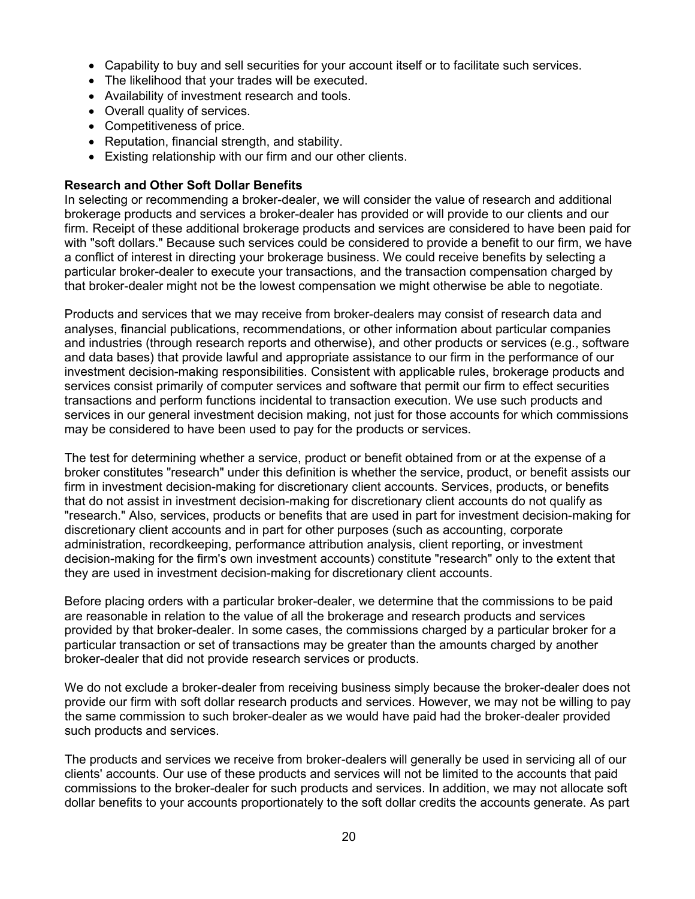- Capability to buy and sell securities for your account itself or to facilitate such services.
- The likelihood that your trades will be executed.
- Availability of investment research and tools.
- Overall quality of services.
- Competitiveness of price.
- Reputation, financial strength, and stability.
- Existing relationship with our firm and our other clients.

#### **Research and Other Soft Dollar Benefits**

In selecting or recommending a broker-dealer, we will consider the value of research and additional brokerage products and services a broker-dealer has provided or will provide to our clients and our firm. Receipt of these additional brokerage products and services are considered to have been paid for with "soft dollars." Because such services could be considered to provide a benefit to our firm, we have a conflict of interest in directing your brokerage business. We could receive benefits by selecting a particular broker-dealer to execute your transactions, and the transaction compensation charged by that broker-dealer might not be the lowest compensation we might otherwise be able to negotiate.

Products and services that we may receive from broker-dealers may consist of research data and analyses, financial publications, recommendations, or other information about particular companies and industries (through research reports and otherwise), and other products or services (e.g., software and data bases) that provide lawful and appropriate assistance to our firm in the performance of our investment decision-making responsibilities. Consistent with applicable rules, brokerage products and services consist primarily of computer services and software that permit our firm to effect securities transactions and perform functions incidental to transaction execution. We use such products and services in our general investment decision making, not just for those accounts for which commissions may be considered to have been used to pay for the products or services.

The test for determining whether a service, product or benefit obtained from or at the expense of a broker constitutes "research" under this definition is whether the service, product, or benefit assists our firm in investment decision-making for discretionary client accounts. Services, products, or benefits that do not assist in investment decision-making for discretionary client accounts do not qualify as "research." Also, services, products or benefits that are used in part for investment decision-making for discretionary client accounts and in part for other purposes (such as accounting, corporate administration, recordkeeping, performance attribution analysis, client reporting, or investment decision-making for the firm's own investment accounts) constitute "research" only to the extent that they are used in investment decision-making for discretionary client accounts.

Before placing orders with a particular broker-dealer, we determine that the commissions to be paid are reasonable in relation to the value of all the brokerage and research products and services provided by that broker-dealer. In some cases, the commissions charged by a particular broker for a particular transaction or set of transactions may be greater than the amounts charged by another broker-dealer that did not provide research services or products.

We do not exclude a broker-dealer from receiving business simply because the broker-dealer does not provide our firm with soft dollar research products and services. However, we may not be willing to pay the same commission to such broker-dealer as we would have paid had the broker-dealer provided such products and services.

The products and services we receive from broker-dealers will generally be used in servicing all of our clients' accounts. Our use of these products and services will not be limited to the accounts that paid commissions to the broker-dealer for such products and services. In addition, we may not allocate soft dollar benefits to your accounts proportionately to the soft dollar credits the accounts generate. As part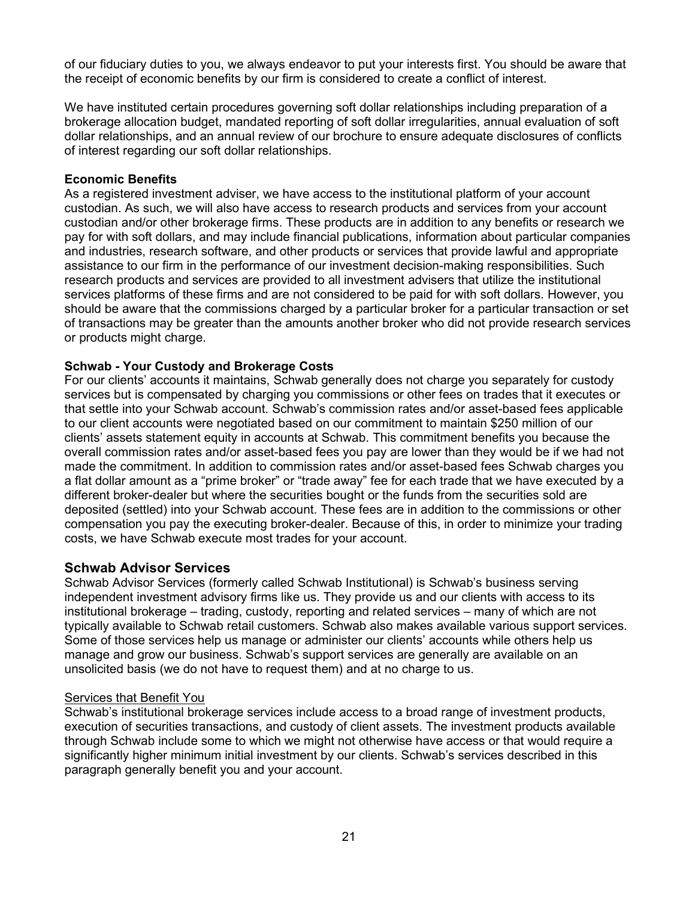of our fiduciary duties to you, we always endeavor to put your interests first. You should be aware that the receipt of economic benefits by our firm is considered to create a conflict of interest.

We have instituted certain procedures governing soft dollar relationships including preparation of a brokerage allocation budget, mandated reporting of soft dollar irregularities, annual evaluation of soft dollar relationships, and an annual review of our brochure to ensure adequate disclosures of conflicts of interest regarding our soft dollar relationships.

### **Economic Benefits**

As a registered investment adviser, we have access to the institutional platform of your account custodian. As such, we will also have access to research products and services from your account custodian and/or other brokerage firms. These products are in addition to any benefits or research we pay for with soft dollars, and may include financial publications, information about particular companies and industries, research software, and other products or services that provide lawful and appropriate assistance to our firm in the performance of our investment decision-making responsibilities. Such research products and services are provided to all investment advisers that utilize the institutional services platforms of these firms and are not considered to be paid for with soft dollars. However, you should be aware that the commissions charged by a particular broker for a particular transaction or set of transactions may be greater than the amounts another broker who did not provide research services or products might charge.

### **Schwab - Your Custody and Brokerage Costs**

For our clients' accounts it maintains, Schwab generally does not charge you separately for custody services but is compensated by charging you commissions or other fees on trades that it executes or that settle into your Schwab account. Schwab's commission rates and/or asset-based fees applicable to our client accounts were negotiated based on our commitment to maintain \$250 million of our clients' assets statement equity in accounts at Schwab. This commitment benefits you because the overall commission rates and/or asset-based fees you pay are lower than they would be if we had not made the commitment. In addition to commission rates and/or asset-based fees Schwab charges you a flat dollar amount as a "prime broker" or "trade away" fee for each trade that we have executed by a different broker-dealer but where the securities bought or the funds from the securities sold are deposited (settled) into your Schwab account. These fees are in addition to the commissions or other compensation you pay the executing broker-dealer. Because of this, in order to minimize your trading costs, we have Schwab execute most trades for your account.

### **Schwab Advisor Services**

Schwab Advisor Services (formerly called Schwab Institutional) is Schwab's business serving independent investment advisory firms like us. They provide us and our clients with access to its institutional brokerage – trading, custody, reporting and related services – many of which are not typically available to Schwab retail customers. Schwab also makes available various support services. Some of those services help us manage or administer our clients' accounts while others help us manage and grow our business. Schwab's support services are generally are available on an unsolicited basis (we do not have to request them) and at no charge to us.

#### Services that Benefit You

Schwab's institutional brokerage services include access to a broad range of investment products, execution of securities transactions, and custody of client assets. The investment products available through Schwab include some to which we might not otherwise have access or that would require a significantly higher minimum initial investment by our clients. Schwab's services described in this paragraph generally benefit you and your account.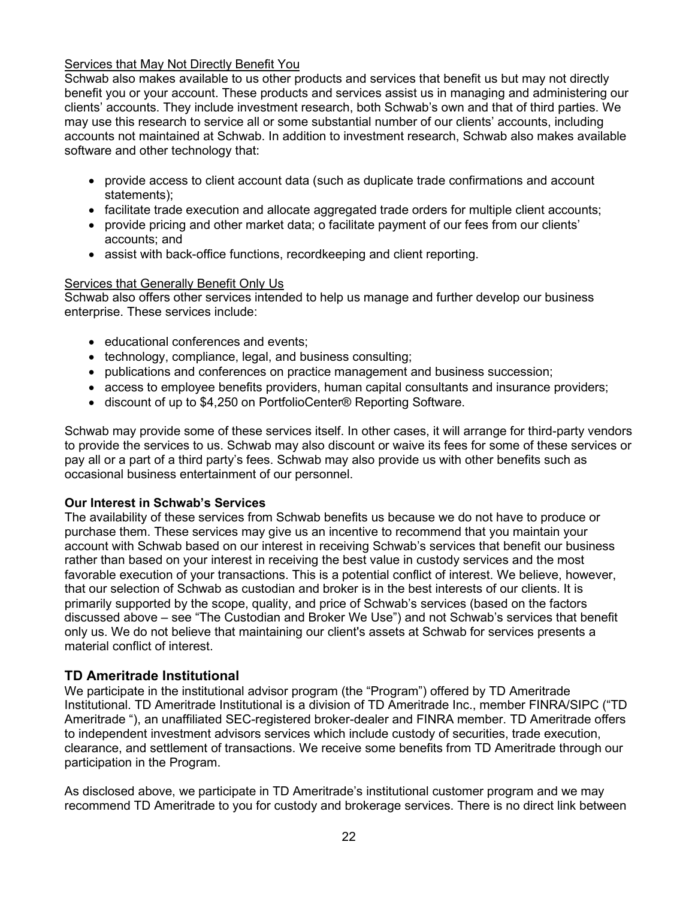### Services that May Not Directly Benefit You

Schwab also makes available to us other products and services that benefit us but may not directly benefit you or your account. These products and services assist us in managing and administering our clients' accounts. They include investment research, both Schwab's own and that of third parties. We may use this research to service all or some substantial number of our clients' accounts, including accounts not maintained at Schwab. In addition to investment research, Schwab also makes available software and other technology that:

- provide access to client account data (such as duplicate trade confirmations and account statements);
- facilitate trade execution and allocate aggregated trade orders for multiple client accounts;
- provide pricing and other market data; o facilitate payment of our fees from our clients' accounts; and
- assist with back-office functions, recordkeeping and client reporting.

### Services that Generally Benefit Only Us

Schwab also offers other services intended to help us manage and further develop our business enterprise. These services include:

- educational conferences and events;
- technology, compliance, legal, and business consulting;
- publications and conferences on practice management and business succession;
- access to employee benefits providers, human capital consultants and insurance providers;
- discount of up to \$4,250 on PortfolioCenter® Reporting Software.

Schwab may provide some of these services itself. In other cases, it will arrange for third-party vendors to provide the services to us. Schwab may also discount or waive its fees for some of these services or pay all or a part of a third party's fees. Schwab may also provide us with other benefits such as occasional business entertainment of our personnel.

### **Our Interest in Schwab's Services**

The availability of these services from Schwab benefits us because we do not have to produce or purchase them. These services may give us an incentive to recommend that you maintain your account with Schwab based on our interest in receiving Schwab's services that benefit our business rather than based on your interest in receiving the best value in custody services and the most favorable execution of your transactions. This is a potential conflict of interest. We believe, however, that our selection of Schwab as custodian and broker is in the best interests of our clients. It is primarily supported by the scope, quality, and price of Schwab's services (based on the factors discussed above – see "The Custodian and Broker We Use") and not Schwab's services that benefit only us. We do not believe that maintaining our client's assets at Schwab for services presents a material conflict of interest.

### **TD Ameritrade Institutional**

We participate in the institutional advisor program (the "Program") offered by TD Ameritrade Institutional. TD Ameritrade Institutional is a division of TD Ameritrade Inc., member FINRA/SIPC ("TD Ameritrade "), an unaffiliated SEC-registered broker-dealer and FINRA member. TD Ameritrade offers to independent investment advisors services which include custody of securities, trade execution, clearance, and settlement of transactions. We receive some benefits from TD Ameritrade through our participation in the Program.

As disclosed above, we participate in TD Ameritrade's institutional customer program and we may recommend TD Ameritrade to you for custody and brokerage services. There is no direct link between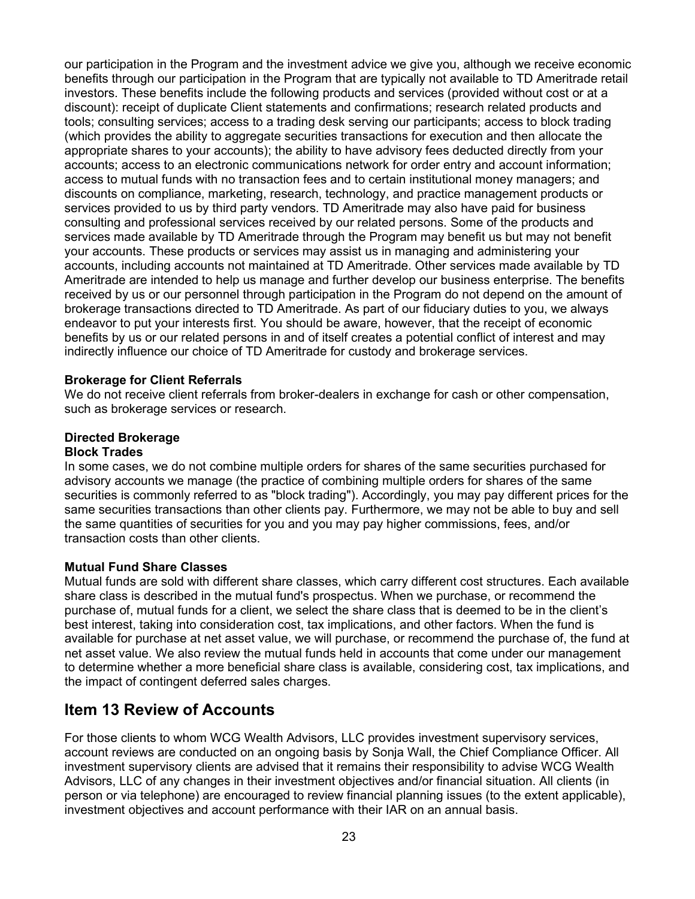our participation in the Program and the investment advice we give you, although we receive economic benefits through our participation in the Program that are typically not available to TD Ameritrade retail investors. These benefits include the following products and services (provided without cost or at a discount): receipt of duplicate Client statements and confirmations; research related products and tools; consulting services; access to a trading desk serving our participants; access to block trading (which provides the ability to aggregate securities transactions for execution and then allocate the appropriate shares to your accounts); the ability to have advisory fees deducted directly from your accounts; access to an electronic communications network for order entry and account information; access to mutual funds with no transaction fees and to certain institutional money managers; and discounts on compliance, marketing, research, technology, and practice management products or services provided to us by third party vendors. TD Ameritrade may also have paid for business consulting and professional services received by our related persons. Some of the products and services made available by TD Ameritrade through the Program may benefit us but may not benefit your accounts. These products or services may assist us in managing and administering your accounts, including accounts not maintained at TD Ameritrade. Other services made available by TD Ameritrade are intended to help us manage and further develop our business enterprise. The benefits received by us or our personnel through participation in the Program do not depend on the amount of brokerage transactions directed to TD Ameritrade. As part of our fiduciary duties to you, we always endeavor to put your interests first. You should be aware, however, that the receipt of economic benefits by us or our related persons in and of itself creates a potential conflict of interest and may indirectly influence our choice of TD Ameritrade for custody and brokerage services.

#### **Brokerage for Client Referrals**

We do not receive client referrals from broker-dealers in exchange for cash or other compensation, such as brokerage services or research.

### **Directed Brokerage**

#### **Block Trades**

In some cases, we do not combine multiple orders for shares of the same securities purchased for advisory accounts we manage (the practice of combining multiple orders for shares of the same securities is commonly referred to as "block trading"). Accordingly, you may pay different prices for the same securities transactions than other clients pay. Furthermore, we may not be able to buy and sell the same quantities of securities for you and you may pay higher commissions, fees, and/or transaction costs than other clients.

#### **Mutual Fund Share Classes**

Mutual funds are sold with different share classes, which carry different cost structures. Each available share class is described in the mutual fund's prospectus. When we purchase, or recommend the purchase of, mutual funds for a client, we select the share class that is deemed to be in the client's best interest, taking into consideration cost, tax implications, and other factors. When the fund is available for purchase at net asset value, we will purchase, or recommend the purchase of, the fund at net asset value. We also review the mutual funds held in accounts that come under our management to determine whether a more beneficial share class is available, considering cost, tax implications, and the impact of contingent deferred sales charges.

### <span id="page-22-0"></span>**Item 13 Review of Accounts**

For those clients to whom WCG Wealth Advisors, LLC provides investment supervisory services, account reviews are conducted on an ongoing basis by Sonja Wall, the Chief Compliance Officer. All investment supervisory clients are advised that it remains their responsibility to advise WCG Wealth Advisors, LLC of any changes in their investment objectives and/or financial situation. All clients (in person or via telephone) are encouraged to review financial planning issues (to the extent applicable), investment objectives and account performance with their IAR on an annual basis.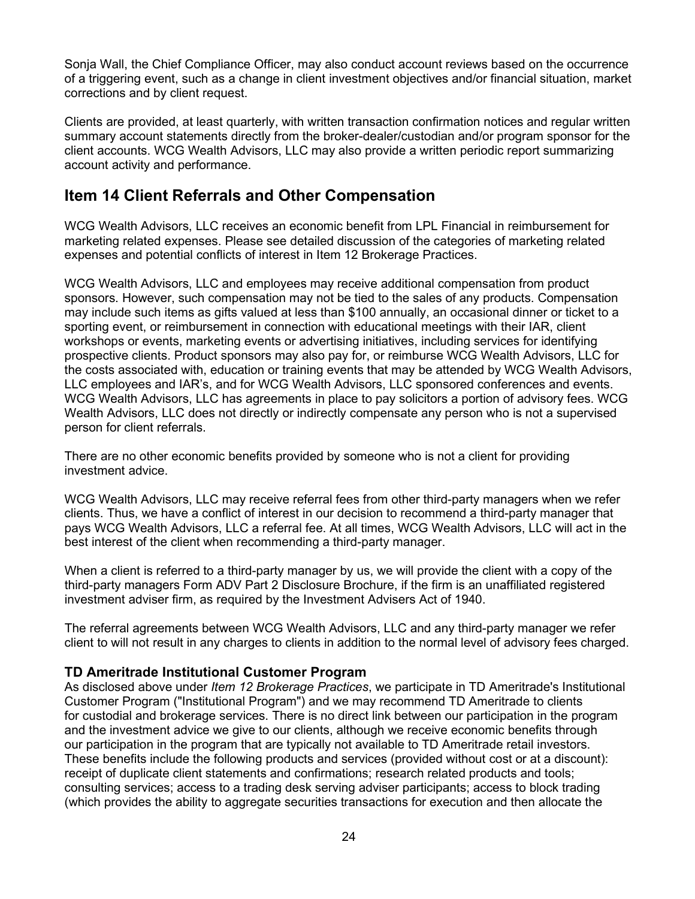Sonja Wall, the Chief Compliance Officer, may also conduct account reviews based on the occurrence of a triggering event, such as a change in client investment objectives and/or financial situation, market corrections and by client request.

Clients are provided, at least quarterly, with written transaction confirmation notices and regular written summary account statements directly from the broker-dealer/custodian and/or program sponsor for the client accounts. WCG Wealth Advisors, LLC may also provide a written periodic report summarizing account activity and performance.

## <span id="page-23-0"></span>**Item 14 Client Referrals and Other Compensation**

WCG Wealth Advisors, LLC receives an economic benefit from LPL Financial in reimbursement for marketing related expenses. Please see detailed discussion of the categories of marketing related expenses and potential conflicts of interest in Item 12 Brokerage Practices.

WCG Wealth Advisors, LLC and employees may receive additional compensation from product sponsors. However, such compensation may not be tied to the sales of any products. Compensation may include such items as gifts valued at less than \$100 annually, an occasional dinner or ticket to a sporting event, or reimbursement in connection with educational meetings with their IAR, client workshops or events, marketing events or advertising initiatives, including services for identifying prospective clients. Product sponsors may also pay for, or reimburse WCG Wealth Advisors, LLC for the costs associated with, education or training events that may be attended by WCG Wealth Advisors, LLC employees and IAR's, and for WCG Wealth Advisors, LLC sponsored conferences and events. WCG Wealth Advisors, LLC has agreements in place to pay solicitors a portion of advisory fees. WCG Wealth Advisors, LLC does not directly or indirectly compensate any person who is not a supervised person for client referrals.

There are no other economic benefits provided by someone who is not a client for providing investment advice.

WCG Wealth Advisors, LLC may receive referral fees from other third-party managers when we refer clients. Thus, we have a conflict of interest in our decision to recommend a third-party manager that pays WCG Wealth Advisors, LLC a referral fee. At all times, WCG Wealth Advisors, LLC will act in the best interest of the client when recommending a third-party manager.

When a client is referred to a third-party manager by us, we will provide the client with a copy of the third-party managers Form ADV Part 2 Disclosure Brochure, if the firm is an unaffiliated registered investment adviser firm, as required by the Investment Advisers Act of 1940.

The referral agreements between WCG Wealth Advisors, LLC and any third-party manager we refer client to will not result in any charges to clients in addition to the normal level of advisory fees charged.

### **TD Ameritrade Institutional Customer Program**

As disclosed above under *Item 12 Brokerage Practices*, we participate in TD Ameritrade's Institutional Customer Program ("Institutional Program") and we may recommend TD Ameritrade to clients for custodial and brokerage services. There is no direct link between our participation in the program and the investment advice we give to our clients, although we receive economic benefits through our participation in the program that are typically not available to TD Ameritrade retail investors. These benefits include the following products and services (provided without cost or at a discount): receipt of duplicate client statements and confirmations; research related products and tools; consulting services; access to a trading desk serving adviser participants; access to block trading (which provides the ability to aggregate securities transactions for execution and then allocate the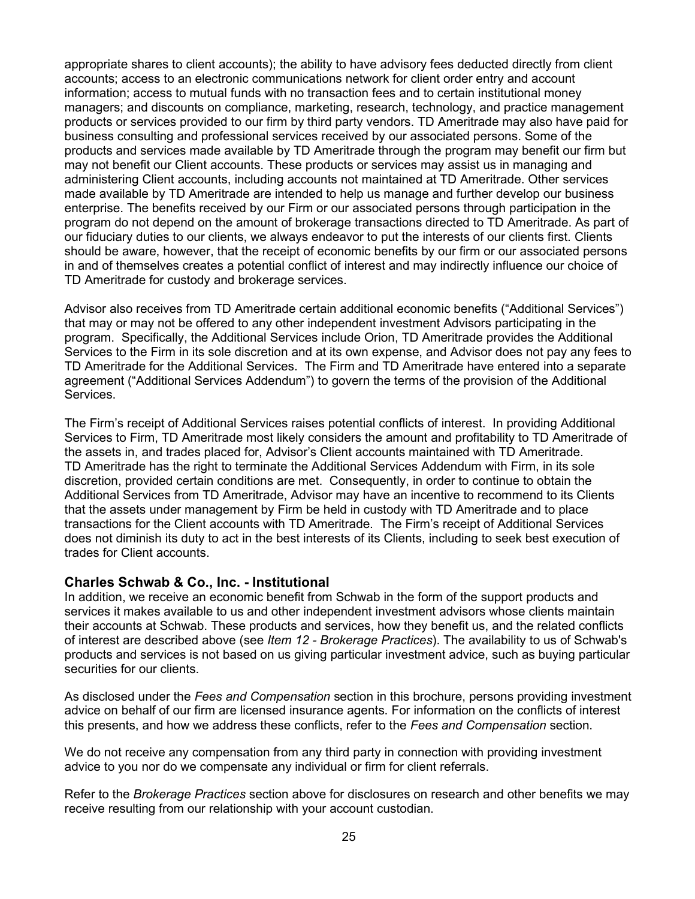appropriate shares to client accounts); the ability to have advisory fees deducted directly from client accounts; access to an electronic communications network for client order entry and account information; access to mutual funds with no transaction fees and to certain institutional money managers; and discounts on compliance, marketing, research, technology, and practice management products or services provided to our firm by third party vendors. TD Ameritrade may also have paid for business consulting and professional services received by our associated persons. Some of the products and services made available by TD Ameritrade through the program may benefit our firm but may not benefit our Client accounts. These products or services may assist us in managing and administering Client accounts, including accounts not maintained at TD Ameritrade. Other services made available by TD Ameritrade are intended to help us manage and further develop our business enterprise. The benefits received by our Firm or our associated persons through participation in the program do not depend on the amount of brokerage transactions directed to TD Ameritrade. As part of our fiduciary duties to our clients, we always endeavor to put the interests of our clients first. Clients should be aware, however, that the receipt of economic benefits by our firm or our associated persons in and of themselves creates a potential conflict of interest and may indirectly influence our choice of TD Ameritrade for custody and brokerage services.

Advisor also receives from TD Ameritrade certain additional economic benefits ("Additional Services") that may or may not be offered to any other independent investment Advisors participating in the program. Specifically, the Additional Services include Orion, TD Ameritrade provides the Additional Services to the Firm in its sole discretion and at its own expense, and Advisor does not pay any fees to TD Ameritrade for the Additional Services. The Firm and TD Ameritrade have entered into a separate agreement ("Additional Services Addendum") to govern the terms of the provision of the Additional Services.

The Firm's receipt of Additional Services raises potential conflicts of interest. In providing Additional Services to Firm, TD Ameritrade most likely considers the amount and profitability to TD Ameritrade of the assets in, and trades placed for, Advisor's Client accounts maintained with TD Ameritrade. TD Ameritrade has the right to terminate the Additional Services Addendum with Firm, in its sole discretion, provided certain conditions are met. Consequently, in order to continue to obtain the Additional Services from TD Ameritrade, Advisor may have an incentive to recommend to its Clients that the assets under management by Firm be held in custody with TD Ameritrade and to place transactions for the Client accounts with TD Ameritrade. The Firm's receipt of Additional Services does not diminish its duty to act in the best interests of its Clients, including to seek best execution of trades for Client accounts.

### **Charles Schwab & Co., Inc. - Institutional**

In addition, we receive an economic benefit from Schwab in the form of the support products and services it makes available to us and other independent investment advisors whose clients maintain their accounts at Schwab. These products and services, how they benefit us, and the related conflicts of interest are described above (see *Item 12 - Brokerage Practices*). The availability to us of Schwab's products and services is not based on us giving particular investment advice, such as buying particular securities for our clients.

As disclosed under the *Fees and Compensation* section in this brochure, persons providing investment advice on behalf of our firm are licensed insurance agents. For information on the conflicts of interest this presents, and how we address these conflicts, refer to the *Fees and Compensation* section.

We do not receive any compensation from any third party in connection with providing investment advice to you nor do we compensate any individual or firm for client referrals.

Refer to the *Brokerage Practices* section above for disclosures on research and other benefits we may receive resulting from our relationship with your account custodian.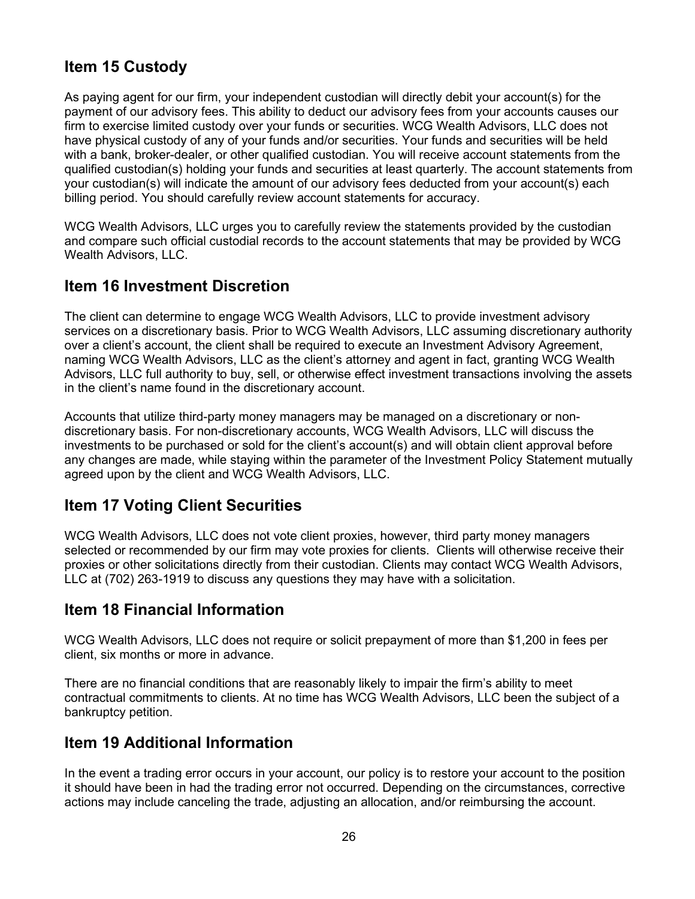# <span id="page-25-0"></span>**Item 15 Custody**

As paying agent for our firm, your independent custodian will directly debit your account(s) for the payment of our advisory fees. This ability to deduct our advisory fees from your accounts causes our firm to exercise limited custody over your funds or securities. WCG Wealth Advisors, LLC does not have physical custody of any of your funds and/or securities. Your funds and securities will be held with a bank, broker-dealer, or other qualified custodian. You will receive account statements from the qualified custodian(s) holding your funds and securities at least quarterly. The account statements from your custodian(s) will indicate the amount of our advisory fees deducted from your account(s) each billing period. You should carefully review account statements for accuracy.

WCG Wealth Advisors, LLC urges you to carefully review the statements provided by the custodian and compare such official custodial records to the account statements that may be provided by WCG Wealth Advisors, LLC.

# <span id="page-25-1"></span>**Item 16 Investment Discretion**

The client can determine to engage WCG Wealth Advisors, LLC to provide investment advisory services on a discretionary basis. Prior to WCG Wealth Advisors, LLC assuming discretionary authority over a client's account, the client shall be required to execute an Investment Advisory Agreement, naming WCG Wealth Advisors, LLC as the client's attorney and agent in fact, granting WCG Wealth Advisors, LLC full authority to buy, sell, or otherwise effect investment transactions involving the assets in the client's name found in the discretionary account.

Accounts that utilize third-party money managers may be managed on a discretionary or nondiscretionary basis. For non-discretionary accounts, WCG Wealth Advisors, LLC will discuss the investments to be purchased or sold for the client's account(s) and will obtain client approval before any changes are made, while staying within the parameter of the Investment Policy Statement mutually agreed upon by the client and WCG Wealth Advisors, LLC.

### <span id="page-25-2"></span>**Item 17 Voting Client Securities**

WCG Wealth Advisors, LLC does not vote client proxies, however, third party money managers selected or recommended by our firm may vote proxies for clients. Clients will otherwise receive their proxies or other solicitations directly from their custodian. Clients may contact WCG Wealth Advisors, LLC at (702) 263-1919 to discuss any questions they may have with a solicitation.

### <span id="page-25-3"></span>**Item 18 Financial Information**

WCG Wealth Advisors, LLC does not require or solicit prepayment of more than \$1,200 in fees per client, six months or more in advance.

There are no financial conditions that are reasonably likely to impair the firm's ability to meet contractual commitments to clients. At no time has WCG Wealth Advisors, LLC been the subject of a bankruptcy petition.

### <span id="page-25-4"></span>**Item 19 Additional Information**

In the event a trading error occurs in your account, our policy is to restore your account to the position it should have been in had the trading error not occurred. Depending on the circumstances, corrective actions may include canceling the trade, adjusting an allocation, and/or reimbursing the account.